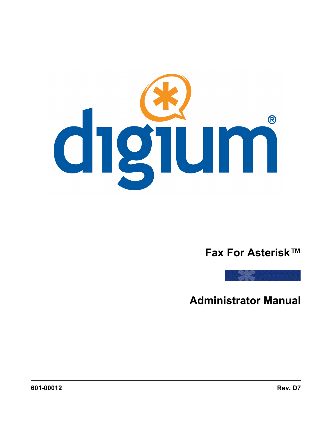

# **Fax For Asterisk™**



**Administrator Manual**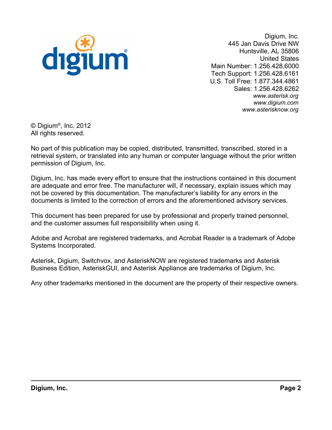

Digium, Inc. 445 Jan Davis Drive NW Huntsville, AL 35806 United States Main Number: 1.256.428.6000 Tech Support: 1.256.428.6161 U.S. Toll Free: 1.877.344.4861 Sales: 1.256.428.6262 *[www.asterisk.org](http://www.asterisk.org/) [www.digium.com](http://www.digium.com/) [www.asterisknow.org](http://www.asterisknow.org/)*

© Digium® , Inc. 2012 All rights reserved.

No part of this publication may be copied, distributed, transmitted, transcribed, stored in a retrieval system, or translated into any human or computer language without the prior written permission of Digium, Inc.

Digium, Inc. has made every effort to ensure that the instructions contained in this document are adequate and error free. The manufacturer will, if necessary, explain issues which may not be covered by this documentation. The manufacturer's liability for any errors in the documents is limited to the correction of errors and the aforementioned advisory services.

This document has been prepared for use by professional and properly trained personnel, and the customer assumes full responsibility when using it.

Adobe and Acrobat are registered trademarks, and Acrobat Reader is a trademark of Adobe Systems Incorporated.

Asterisk, Digium, Switchvox, and AsteriskNOW are registered trademarks and Asterisk Business Edition, AsteriskGUI, and Asterisk Appliance are trademarks of Digium, Inc.

Any other trademarks mentioned in the document are the property of their respective owners.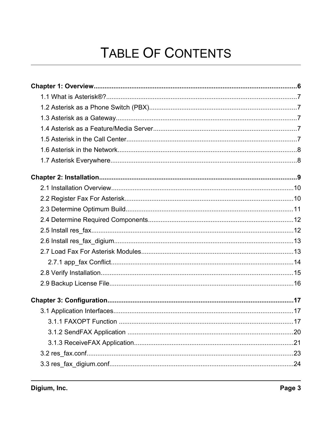# TABLE OF CONTENTS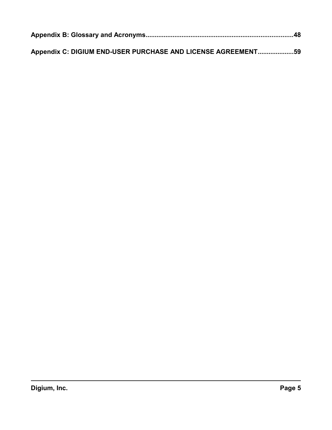| Appendix C: DIGIUM END-USER PURCHASE AND LICENSE AGREEMENT59 |  |
|--------------------------------------------------------------|--|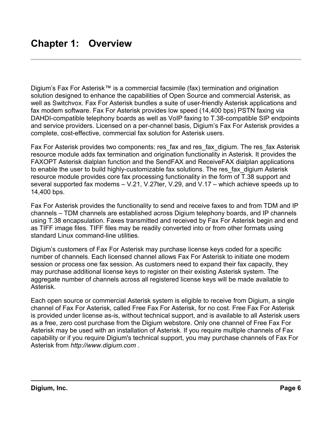<span id="page-5-0"></span>Digium's Fax For Asterisk™ is a commercial facsimile (fax) termination and origination solution designed to enhance the capabilities of Open Source and commercial Asterisk, as well as Switchvox. Fax For Asterisk bundles a suite of user-friendly Asterisk applications and fax modem software. Fax For Asterisk provides low speed (14,400 bps) PSTN faxing via DAHDI-compatible telephony boards as well as VoIP faxing to T.38-compatible SIP endpoints and service providers. Licensed on a per-channel basis, Digium's Fax For Asterisk provides a complete, cost-effective, commercial fax solution for Asterisk users.

Fax For Asterisk provides two components: res fax and res fax digium. The res fax Asterisk resource module adds fax termination and origination functionality in Asterisk. It provides the FAXOPT Asterisk dialplan function and the SendFAX and ReceiveFAX dialplan applications to enable the user to build highly-customizable fax solutions. The res fax digium Asterisk resource module provides core fax processing functionality in the form of T.38 support and several supported fax modems – V.21, V.27ter, V.29, and V.17 – which achieve speeds up to 14,400 bps.

Fax For Asterisk provides the functionality to send and receive faxes to and from TDM and IP channels – TDM channels are established across Digium telephony boards, and IP channels using T.38 encapsulation. Faxes transmitted and received by Fax For Asterisk begin and end as TIFF image files. TIFF files may be readily converted into or from other formats using standard Linux command-line utilities.

Digium's customers of Fax For Asterisk may purchase license keys coded for a specific number of channels. Each licensed channel allows Fax For Asterisk to initiate one modem session or process one fax session. As customers need to expand their fax capacity, they may purchase additional license keys to register on their existing Asterisk system. The aggregate number of channels across all registered license keys will be made available to Asterisk.

Each open source or commercial Asterisk system is eligible to receive from Digium, a single channel of Fax For Asterisk, called Free Fax For Asterisk, for no cost. Free Fax For Asterisk is provided under license as-is, without technical support, and is available to all Asterisk users as a free, zero cost purchase from the Digium webstore. Only one channel of Free Fax For Asterisk may be used with an installation of Asterisk. If you require multiple channels of Fax capability or if you require Digium's technical support, you may purchase channels of Fax For Asterisk from *[http://www.digium.com](http://www.digium.com/)* .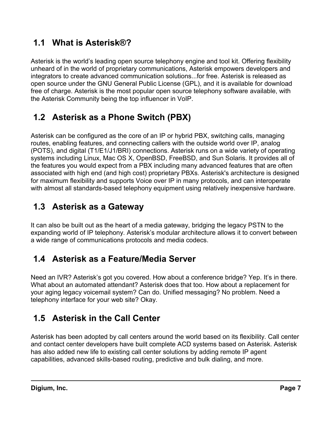# <span id="page-6-4"></span> **1.1 What is Asterisk®?**

Asterisk is the world's leading open source telephony engine and tool kit. Offering flexibility unheard of in the world of proprietary communications, Asterisk empowers developers and integrators to create advanced communication solutions...for free. Asterisk is released as open source under the GNU General Public License (GPL), and it is available for download free of charge. Asterisk is the most popular open source telephony software available, with the Asterisk Community being the top influencer in VoIP.

# <span id="page-6-3"></span> **1.2 Asterisk as a Phone Switch (PBX)**

Asterisk can be configured as the core of an IP or hybrid PBX, switching calls, managing routes, enabling features, and connecting callers with the outside world over IP, analog (POTS), and digital (T1/E1/J1/BRI) connections. Asterisk runs on a wide variety of operating systems including Linux, Mac OS X, OpenBSD, FreeBSD, and Sun Solaris. It provides all of the features you would expect from a PBX including many advanced features that are often associated with high end (and high cost) proprietary PBXs. Asterisk's architecture is designed for maximum flexibility and supports Voice over IP in many protocols, and can interoperate with almost all standards-based telephony equipment using relatively inexpensive hardware.

# <span id="page-6-2"></span> **1.3 Asterisk as a Gateway**

It can also be built out as the heart of a media gateway, bridging the legacy PSTN to the expanding world of IP telephony. Asterisk's modular architecture allows it to convert between a wide range of communications protocols and media codecs.

# <span id="page-6-1"></span> **1.4 Asterisk as a Feature/Media Server**

Need an IVR? Asterisk's got you covered. How about a conference bridge? Yep. It's in there. What about an automated attendant? Asterisk does that too. How about a replacement for your aging legacy voicemail system? Can do. Unified messaging? No problem. Need a telephony interface for your web site? Okay.

# <span id="page-6-0"></span> **1.5 Asterisk in the Call Center**

Asterisk has been adopted by call centers around the world based on its flexibility. Call center and contact center developers have built complete ACD systems based on Asterisk. Asterisk has also added new life to existing call center solutions by adding remote IP agent capabilities, advanced skills-based routing, predictive and bulk dialing, and more.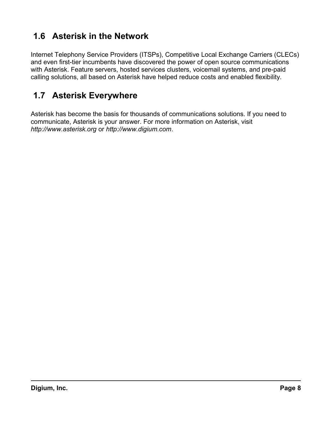# <span id="page-7-1"></span> **1.6 Asterisk in the Network**

Internet Telephony Service Providers (ITSPs), Competitive Local Exchange Carriers (CLECs) and even first-tier incumbents have discovered the power of open source communications with Asterisk. Feature servers, hosted services clusters, voicemail systems, and pre-paid calling solutions, all based on Asterisk have helped reduce costs and enabled flexibility.

# <span id="page-7-0"></span> **1.7 Asterisk Everywhere**

Asterisk has become the basis for thousands of communications solutions. If you need to communicate, Asterisk is your answer. For more information on Asterisk, visit *[http://www.asterisk.org](http://www.asterisk.org/)* or *[http://www.digium.com](http://www.digium.com/)*.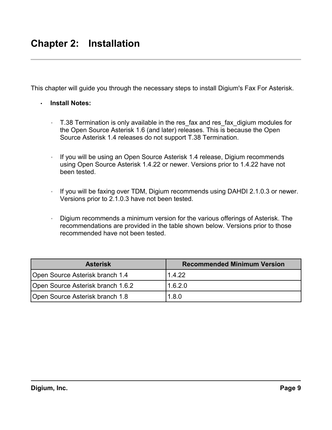<span id="page-8-0"></span>This chapter will guide you through the necessary steps to install Digium's Fax For Asterisk.

- **Install Notes:**
	- T.38 Termination is only available in the res fax and res fax digium modules for the Open Source Asterisk 1.6 (and later) releases. This is because the Open Source Asterisk 1.4 releases do not support T.38 Termination.
	- If you will be using an Open Source Asterisk 1.4 release, Digium recommends using Open Source Asterisk 1.4.22 or newer. Versions prior to 1.4.22 have not been tested.
	- If you will be faxing over TDM, Digium recommends using DAHDI 2.1.0.3 or newer. Versions prior to 2.1.0.3 have not been tested.
	- Digium recommends a minimum version for the various offerings of Asterisk. The recommendations are provided in the table shown [below.](#page-8-1) Versions prior to those recommended have not been tested.

<span id="page-8-1"></span>

| <b>Asterisk</b>                   | <b>Recommended Minimum Version</b> |
|-----------------------------------|------------------------------------|
| Open Source Asterisk branch 1.4   | 1.4.22                             |
| Open Source Asterisk branch 1.6.2 | 1.6.2.0                            |
| Open Source Asterisk branch 1.8   | 1.8.0                              |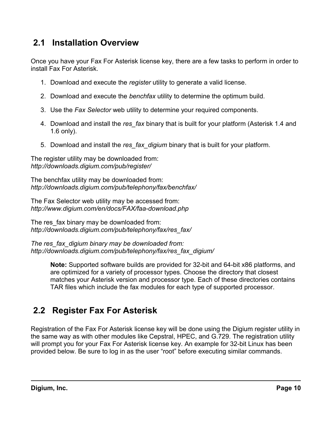# <span id="page-9-1"></span> **2.1 Installation Overview**

Once you have your Fax For Asterisk license key, there are a few tasks to perform in order to install Fax For Asterisk.

- 1. Download and execute the *register* utility to generate a valid license.
- 2. Download and execute the *benchfax* utility to determine the optimum build.
- 3. Use the *Fax Selector* web utility to determine your required components.
- 4. Download and install the *res\_fax* binary that is built for your platform (Asterisk 1.4 and 1.6 only).
- 5. Download and install the *res\_fax\_digium* binary that is built for your platform.

The register utility may be downloaded from: *<http://downloads.digium.com/pub/register/>*

The benchfax utility may be downloaded from: *<http://downloads.digium.com/pub/telephony/fax/benchfax/>*

The Fax Selector web utility may be accessed from: *<http://www.digium.com/en/docs/FAX/faa-download.php>*

The res fax binary may be downloaded from: *[http://downloads.digium.com/pub/telephony/fax/res\\_fax/](http://downloads.digium.com/pub/telephony/fax/res_fax/)*

*The res\_fax\_digium binary may be downloaded from: [http://downloads.digium.com/pub/telephony/fax/res\\_fax\\_digium/](http://downloads.digium.com/pub/telephony/fax/res_fax_digium/)*

> **Note:** Supported software builds are provided for 32-bit and 64-bit x86 platforms, and are optimized for a variety of processor types. Choose the directory that closest matches your Asterisk version and processor type. Each of these directories contains TAR files which include the fax modules for each type of supported processor.

# <span id="page-9-0"></span> **2.2 Register Fax For Asterisk**

Registration of the Fax For Asterisk license key will be done using the Digium register utility in the same way as with other modules like Cepstral, HPEC, and G.729. The registration utility will prompt you for your Fax For Asterisk license key. An example for 32-bit Linux has been provided below. Be sure to log in as the user "root" before executing similar commands.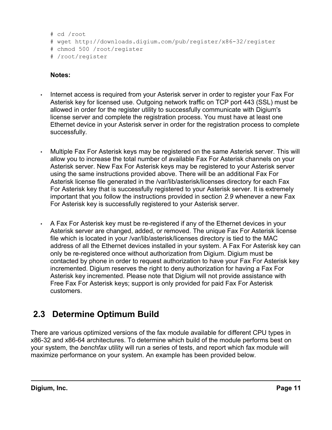```
# cd /root
```

```
# wget http://downloads.digium.com/pub/register/x86-32/register
```

```
# chmod 500 /root/register
```

```
# /root/register
```
### **Notes:**

- Internet access is required from your Asterisk server in order to register your Fax For Asterisk key for licensed use. Outgoing network traffic on TCP port 443 (SSL) must be allowed in order for the register utility to successfully communicate with Digium's license server and complete the registration process. You must have at least one Ethernet device in your Asterisk server in order for the registration process to complete successfully.
- Multiple Fax For Asterisk keys may be registered on the same Asterisk server. This will allow you to increase the total number of available Fax For Asterisk channels on your Asterisk server. New Fax For Asterisk keys may be registered to your Asterisk server using the same instructions provided above. There will be an additional Fax For Asterisk license file generated in the /var/lib/asterisk/licenses directory for each Fax For Asterisk key that is successfully registered to your Asterisk server. It is extremely important that you follow the instructions provided in section *[2.9](#page-15-0)* whenever a new Fax For Asterisk key is successfully registered to your Asterisk server.
- A Fax For Asterisk key must be re-registered if any of the Ethernet devices in your Asterisk server are changed, added, or removed. The unique Fax For Asterisk license file which is located in your /var/lib/asterisk/licenses directory is tied to the MAC address of all the Ethernet devices installed in your system. A Fax For Asterisk key can only be re-registered once without authorization from Digium. Digium must be contacted by phone in order to request authorization to have your Fax For Asterisk key incremented. Digium reserves the right to deny authorization for having a Fax For Asterisk key incremented. Please note that Digium will not provide assistance with Free Fax For Asterisk keys; support is only provided for paid Fax For Asterisk customers.

# <span id="page-10-0"></span> **2.3 Determine Optimum Build**

There are various optimized versions of the fax module available for different CPU types in x86-32 and x86-64 architectures. To determine which build of the module performs best on your system, the *benchfax* utility will run a series of tests, and report which fax module will maximize performance on your system. An example has been provided below.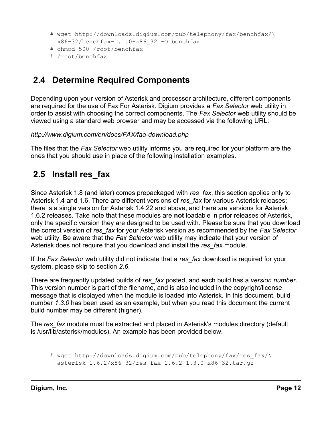```
# wget http://downloads.digium.com/pub/telephony/fax/benchfax/\
  x86-32/benchfax-1.1.0-x86_32 -O benchfax
```
- # chmod 500 /root/benchfax
- # /root/benchfax

# <span id="page-11-1"></span> **2.4 Determine Required Components**

Depending upon your version of Asterisk and processor architecture, different components are required for the use of Fax For Asterisk. Digium provides a *Fax Selector* web utility in order to assist with choosing the correct components. The *Fax Selector* web utility should be viewed using a standard web browser and may be accessed via the following URL:

*<http://www.digium.com/en/docs/FAX/faa-download.php>*

The files that the *Fax Selector* web utility informs you are required for your platform are the ones that you should use in place of the following installation examples.

# <span id="page-11-0"></span> **2.5 Install res\_fax**

Since Asterisk 1.8 (and later) comes prepackaged with *res\_fax*, this section applies only to Asterisk 1.4 and 1.6. There are different versions of *res\_fax* for various Asterisk releases; there is a single version for Asterisk 1.4.22 and above, and there are versions for Asterisk 1.6.2 releases. Take note that these modules are **not** loadable in prior releases of Asterisk, only the specific version they are designed to be used with. Please be sure that you download the correct version of *res\_fax* for your Asterisk version as recommended by the *Fax Selector* web utility. Be aware that the *Fax Selector* web utility may indicate that your version of Asterisk does not require that you download and install the *res\_fax* module.

If the *Fax Selector* web utility did not indicate that a *res\_fax* download is required for your system, please skip to section *[2.6](#page-12-1)*.

There are frequently updated builds of *res\_fax* posted, and each build has a *version number*. This version number is part of the filename, and is also included in the copyright/license message that is displayed when the module is loaded into Asterisk. In this document, build number *1.3.0* has been used as an example, but when you read this document the current build number may be different (higher).

The *res\_fax* module must be extracted and placed in Asterisk's modules directory (default is /usr/lib/asterisk/modules). An example has been provided below.

# wget [http://downloads.digium.com/pub/telephony/fax/res\\_fax/\](http://downloads.digium.com/pub/telephony/fax/res_fax/) asterisk-1.6.2/x86-32/res\_fax-1.6.2\_1.3.0-x86\_32.tar.gz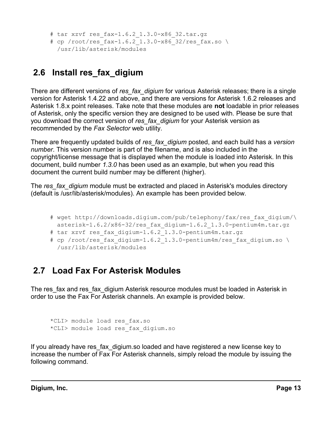```
# tar xzvf res_fax-1.6.2_1.3.0-x86_32.tar.gz
# cp /root/res fax-1.6.2 1.3.0-x86 32/res fax.so \
  /usr/lib/asterisk/modules
```
# <span id="page-12-1"></span> **2.6 Install res\_fax\_digium**

There are different versions of *res\_fax\_digium* for various Asterisk releases; there is a single version for Asterisk 1.4.22 and above, and there are versions for Asterisk 1.6.2 releases and Asterisk 1.8.x point releases. Take note that these modules are **not** loadable in prior releases of Asterisk, only the specific version they are designed to be used with. Please be sure that you download the correct version of *res\_fax\_digium* for your Asterisk version as recommended by the *Fax Selector* web utility.

There are frequently updated builds of *res\_fax\_digium* posted, and each build has a *version number*. This version number is part of the filename, and is also included in the copyright/license message that is displayed when the module is loaded into Asterisk. In this document, build number *1.3.0* has been used as an example, but when you read this document the current build number may be different (higher).

The *res fax digium* module must be extracted and placed in Asterisk's modules directory (default is /usr/lib/asterisk/modules). An example has been provided below.

- # wget [http://downloads.digium.com/pub/telephony/fax/res\\_fax\\_digium/\](http://downloads.digium.com/pub/telephony/fax/res_fax_digium/) asterisk-1.6.2/x86-32/res\_fax\_digium-1.6.2\_1.3.0-pentium4m.tar.gz
- # tar xzvf res fax digium-1.6.2 1.3.0-pentium4m.tar.gz
- # cp /root/res fax digium-1.6.2 1.3.0-pentium4m/res fax digium.so \ /usr/lib/asterisk/modules

# <span id="page-12-0"></span> **2.7 Load Fax For Asterisk Modules**

The res fax and res fax digium Asterisk resource modules must be loaded in Asterisk in order to use the Fax For Asterisk channels. An example is provided below.

```
*CLI> module load res_fax.so
*CLI> module load res_fax_digium.so
```
If you already have res fax digium.so loaded and have registered a new license key to increase the number of Fax For Asterisk channels, simply reload the module by issuing the following command.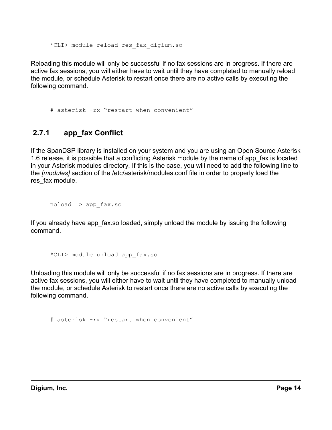\*CLI> module reload res\_fax\_digium.so

Reloading this module will only be successful if no fax sessions are in progress. If there are active fax sessions, you will either have to wait until they have completed to manually reload the module, or schedule Asterisk to restart once there are no active calls by executing the following command.

<span id="page-13-0"></span># asterisk -rx "restart when convenient"

### **2.7.1 app\_fax Conflict**

If the SpanDSP library is installed on your system and you are using an Open Source Asterisk 1.6 release, it is possible that a conflicting Asterisk module by the name of app\_fax is located in your Asterisk modules directory. If this is the case, you will need to add the following line to the *[modules]* section of the /etc/asterisk/modules.conf file in order to properly load the res fax module.

 $noload \Rightarrow app$  fax.so

If you already have app fax.so loaded, simply unload the module by issuing the following command.

\*CLI> module unload app\_fax.so

Unloading this module will only be successful if no fax sessions are in progress. If there are active fax sessions, you will either have to wait until they have completed to manually unload the module, or schedule Asterisk to restart once there are no active calls by executing the following command.

# asterisk -rx "restart when convenient"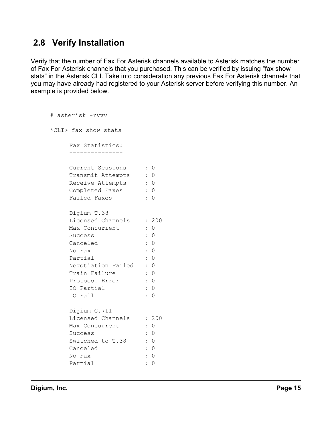# <span id="page-14-0"></span> **2.8 Verify Installation**

Verify that the number of Fax For Asterisk channels available to Asterisk matches the number of Fax For Asterisk channels that you purchased. This can be verified by issuing "fax show stats" in the Asterisk CLI. Take into consideration any previous Fax For Asterisk channels that you may have already had registered to your Asterisk server before verifying this number. An example is provided below.

```
# asterisk -rvvv
*CLI> fax show stats
    Fax Statistics:
    ---------------
    Current Sessions : 0
    Transmit Attempts : 0
    Receive Attempts : 0
    Completed Faxes : 0
    Failed Faxes : 0
    Digium T.38 
    Licensed Channels : 200
    Max Concurrent : 0
    Success : 0
    Canceled : 0<br>No Fax : 0
    No Fax : 0
    Partial : 0
    Negotiation Failed : 0
    Train Failure : 0
    Protocol Error : 0
    IO Partial : 0
    IO Fail : 0
    Digium G.711 
    Licensed Channels : 200
    Max Concurrent : 0
    Success : 0
    Switched to T.38 : 0
    Canceled : 0
    No Fax : 0
    Partial : 0
```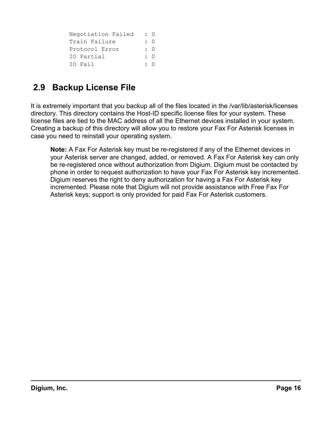| Negotiation Failed | $\colon$ 0 |
|--------------------|------------|
| Train Failure      | $\colon$ 0 |
| Protocol Error     | $\colon$ 0 |
| IO Partial         | $\colon$ 0 |
| IO Fail            | $\cdot$ 0  |

# <span id="page-15-0"></span> **2.9 Backup License File**

It is extremely important that you backup all of the files located in the /var/lib/asterisk/licenses directory. This directory contains the Host-ID specific license files for your system. These license files are tied to the MAC address of all the Ethernet devices installed in your system. Creating a backup of this directory will allow you to restore your Fax For Asterisk licenses in case you need to reinstall your operating system.

**Note:** A Fax For Asterisk key must be re-registered if any of the Ethernet devices in your Asterisk server are changed, added, or removed. A Fax For Asterisk key can only be re-registered once without authorization from Digium. Digium must be contacted by phone in order to request authorization to have your Fax For Asterisk key incremented. Digium reserves the right to deny authorization for having a Fax For Asterisk key incremented. Please note that Digium will not provide assistance with Free Fax For Asterisk keys; support is only provided for paid Fax For Asterisk customers.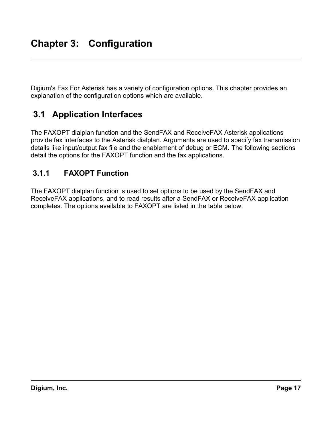<span id="page-16-2"></span>Digium's Fax For Asterisk has a variety of configuration options. This chapter provides an explanation of the configuration options which are available.

# <span id="page-16-1"></span> **3.1 Application Interfaces**

The FAXOPT dialplan function and the SendFAX and ReceiveFAX Asterisk applications provide fax interfaces to the Asterisk dialplan. Arguments are used to specify fax transmission details like input/output fax file and the enablement of debug or ECM. The following sections detail the options for the FAXOPT function and the fax applications.

### <span id="page-16-0"></span> **3.1.1 FAXOPT Function**

The FAXOPT dialplan function is used to set options to be used by the SendFAX and ReceiveFAX applications, and to read results after a SendFAX or ReceiveFAX application completes. The options available to FAXOPT are listed in the table [below.](#page-17-0)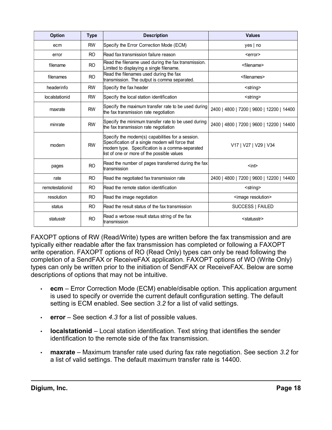<span id="page-17-0"></span>

| <b>Option</b>   | <b>Type</b>    | <b>Description</b>                                                                                                                                                                                  | <b>Values</b>                             |
|-----------------|----------------|-----------------------------------------------------------------------------------------------------------------------------------------------------------------------------------------------------|-------------------------------------------|
| ecm             | <b>RW</b>      | Specify the Error Correction Mode (ECM)                                                                                                                                                             | yes   no                                  |
| error           | RO.            | Read fax transmission failure reason                                                                                                                                                                | <error></error>                           |
| filename        | R <sub>O</sub> | Read the filename used during the fax transmission.<br>Limited to displaying a single filename.                                                                                                     | <filename></filename>                     |
| filenames       | R <sub>O</sub> | Read the filenames used during the fax<br>transmission. The output is comma separated.                                                                                                              | <filenames></filenames>                   |
| headerinfo      | <b>RW</b>      | Specify the fax header                                                                                                                                                                              | <string></string>                         |
| localstationid  | <b>RW</b>      | Specify the local station identification                                                                                                                                                            | <string></string>                         |
| maxrate         | <b>RW</b>      | Specify the maximum transfer rate to be used during<br>the fax transmission rate negotiation                                                                                                        | 2400   4800   7200   9600   12200   14400 |
| minrate         | <b>RW</b>      | Specify the minimum transfer rate to be used during<br>the fax transmission rate negotiation                                                                                                        | 2400   4800   7200   9600   12200   14400 |
| modem           | <b>RW</b>      | Specify the modem(s) capabilities for a session.<br>Specification of a single modem will force that<br>modem type. Specification is a comma-separated<br>list of one or more of the possible values | V17   V27   V29   V34                     |
| pages           | R <sub>O</sub> | Read the number of pages transferred during the fax<br>transmission                                                                                                                                 | $int$                                     |
| rate            | R <sub>O</sub> | Read the negotiated fax transmission rate                                                                                                                                                           | 2400   4800   7200   9600   12200   14400 |
| remotestationid | R <sub>O</sub> | Read the remote station identification                                                                                                                                                              | <string></string>                         |
| resolution      | RO.            | Read the image negotiation                                                                                                                                                                          | <image resolution=""/>                    |
| status          | R <sub>O</sub> | Read the result status of the fax transmission                                                                                                                                                      | SUCCESS   FAILED                          |
| statusstr       | <b>RO</b>      | Read a verbose result status string of the fax<br>transmission                                                                                                                                      | <statusstr></statusstr>                   |

FAXOPT options of RW (Read/Write) types are written before the fax transmission and are typically either readable after the fax transmission has completed or following a FAXOPT write operation. FAXOPT options of RO (Read Only) types can only be read following the completion of a SendFAX or ReceiveFAX application. FAXOPT options of WO (Write Only) types can only be written prior to the initiation of SendFAX or ReceiveFAX. Below are some descriptions of options that may not be intuitive.

- **ecm** Error Correction Mode (ECM) enable/disable option. This application argument is used to specify or override the current default configuration setting. The default setting is ECM enabled. See section *[3.2](#page-22-1)* for a list of valid settings.
- **error** See section *[4.3](#page-29-0)* for a list of possible values.
- **localstationid** Local station identification. Text string that identifies the sender identification to the remote side of the fax transmission.
- **maxrate** Maximum transfer rate used during fax rate negotiation. See section *[3.2](#page-22-0)* for a list of valid settings. The default maximum transfer rate is 14400.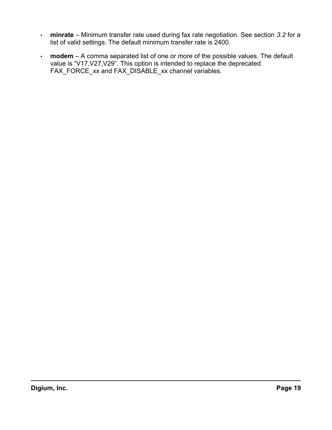- **minrate** Minimum transfer rate used during fax rate negotiation. See section *[3.2](#page-22-0)* for a list of valid settings. The default minimum transfer rate is 2400.
- **modem** A comma separated list of one or more of the possible values. The default value is "V17,V27,V29". This option is intended to replace the deprecated FAX\_FORCE\_xx and FAX\_DISABLE\_xx channel variables.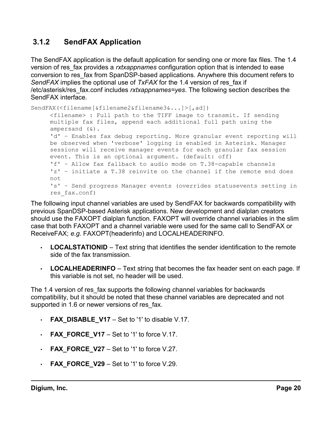### <span id="page-19-0"></span> **3.1.2 SendFAX Application**

The SendFAX application is the default application for sending one or more fax files. The 1.4 version of res\_fax provides a *rxtxappnames* configuration option that is intended to ease conversion to res\_fax from SpanDSP-based applications. Anywhere this document refers to *SendFAX* implies the optional use of *TxFAX* for the 1.4 version of res\_fax if /etc/asterisk/res\_fax.conf includes *rxtxappnames=yes*. The following section describes the SendFAX interface.

```
SendFAX(<filename[&filename2&filename3&...]>[,ad])
     <filename> : Full path to the TIFF image to transmit. If sending
     multiple fax files, append each additional full path using the
     ampersand (&).
     'd' – Enables fax debug reporting. More granular event reporting will
     be observed when 'verbose' logging is enabled in Asterisk. Manager
     sessions will receive manager events for each granular fax session
     event. This is an optional argument. (default: off)
     'f' – Allow fax fallback to audio mode on T.38-capable channels
     'z' – initiate a T.38 reinvite on the channel if the remote end does
     not
     's' – Send progress Manager events (overrides statusevents setting in
     res_fax.conf)
```
The following input channel variables are used by SendFAX for backwards compatibility with previous SpanDSP-based Asterisk applications. New development and dialplan creators should use the FAXOPT dialplan function. FAXOPT will override channel variables in the slim case that both FAXOPT and a channel variable were used for the same call to SendFAX or ReceiveFAX; *e.g.* FAXOPT(headerinfo) and LOCALHEADERINFO.

- **LOCALSTATIONID** Text string that identifies the sender identification to the remote side of the fax transmission.
- **LOCALHEADERINFO** Text string that becomes the fax header sent on each page. If this variable is not set, no header will be used.

The 1.4 version of res fax supports the following channel variables for backwards compatibility, but it should be noted that these channel variables are deprecated and not supported in 1.6 or newer versions of res fax.

- **FAX\_DISABLE\_V17** Set to '1' to disable V.17.
- **FAX FORCE V17** Set to '1' to force V.17.
- $\cdot$  **FAX\_FORCE\_V27** Set to '1' to force V.27.
- **FAX\_FORCE\_V29** Set to '1' to force  $V.29$ .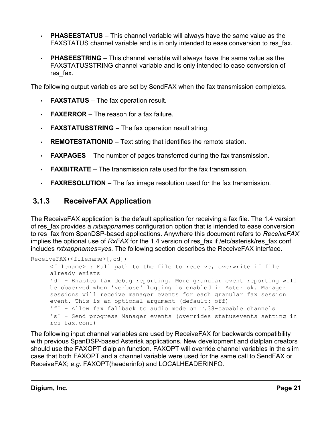- **PHASEESTATUS** This channel variable will always have the same value as the FAXSTATUS channel variable and is in only intended to ease conversion to res fax.
- **PHASEESTRING** This channel variable will always have the same value as the FAXSTATUSSTRING channel variable and is only intended to ease conversion of res fax.

The following output variables are set by SendFAX when the fax transmission completes.

- **FAXSTATUS** The fax operation result.
- **FAXERROR** The reason for a fax failure.
- **FAXSTATUSSTRING** The fax operation result string.
- **REMOTESTATIONID** Text string that identifies the remote station.
- **FAXPAGES** The number of pages transferred during the fax transmission.
- **FAXBITRATE** The transmission rate used for the fax transmission.
- <span id="page-20-0"></span>• **FAXRESOLUTION** – The fax image resolution used for the fax transmission.

### **3.1.3 ReceiveFAX Application**

The ReceiveFAX application is the default application for receiving a fax file. The 1.4 version of res\_fax provides a *rxtxappnames* configuration option that is intended to ease conversion to res\_fax from SpanDSP-based applications. Anywhere this document refers to *ReceiveFAX* implies the optional use of *RxFAX* for the 1.4 version of res\_fax if /etc/asterisk/res\_fax.conf includes *rxtxappnames=yes*. The following section describes the ReceiveFAX interface.

```
ReceiveFAX(<filename>[,cd])
     <filename> : Full path to the file to receive, overwrite if file
     already exists
     'd' – Enables fax debug reporting. More granular event reporting will
     be observed when 'verbose' logging is enabled in Asterisk. Manager
     sessions will receive manager events for each granular fax session
     event. This is an optional argument (default: off)
     'f' – Allow fax fallback to audio mode on T.38-capable channels
     's' – Send progress Manager events (overrides statusevents setting in
     res_fax.conf)
```
The following input channel variables are used by ReceiveFAX for backwards compatibility with previous SpanDSP-based Asterisk applications. New development and dialplan creators should use the FAXOPT dialplan function. FAXOPT will override channel variables in the slim case that both FAXOPT and a channel variable were used for the same call to SendFAX or ReceiveFAX; *e.g.* FAXOPT(headerinfo) and LOCALHEADERINFO.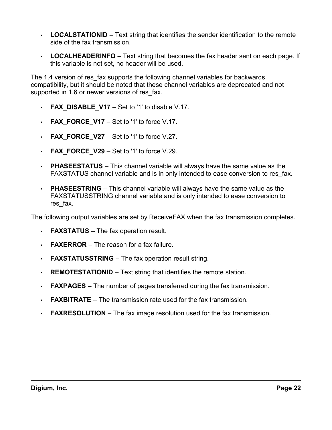- **LOCALSTATIONID** Text string that identifies the sender identification to the remote side of the fax transmission.
- **LOCALHEADERINFO** Text string that becomes the fax header sent on each page. If this variable is not set, no header will be used.

The 1.4 version of res fax supports the following channel variables for backwards compatibility, but it should be noted that these channel variables are deprecated and not supported in 1.6 or newer versions of res fax.

- **FAX\_DISABLE\_V17** Set to '1' to disable V.17.
- **FAX\_FORCE\_V17** Set to '1' to force  $V.17$ .
- **FAX\_FORCE\_V27** Set to '1' to force  $V.27$ .
- **FAX FORCE V29** Set to '1' to force V.29.
- **PHASEESTATUS** This channel variable will always have the same value as the FAXSTATUS channel variable and is in only intended to ease conversion to res fax.
- **PHASEESTRING** This channel variable will always have the same value as the FAXSTATUSSTRING channel variable and is only intended to ease conversion to res fax.

The following output variables are set by ReceiveFAX when the fax transmission completes.

- **FAXSTATUS** The fax operation result.
- **FAXERROR** The reason for a fax failure.
- **FAXSTATUSSTRING** The fax operation result string.
- **REMOTESTATIONID** Text string that identifies the remote station.
- **FAXPAGES** The number of pages transferred during the fax transmission.
- **FAXBITRATE** The transmission rate used for the fax transmission.
- **FAXRESOLUTION** The fax image resolution used for the fax transmission.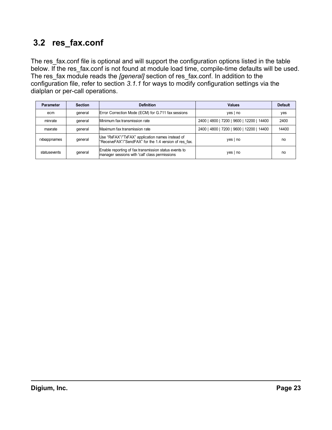# <span id="page-22-0"></span> **3.2 res\_fax.conf**

The res\_fax.conf file is optional and will support the configuration options listed in the table [below.](#page-22-1) If the res fax.conf is not found at module load time, compile-time defaults will be used. The res\_fax module reads the *[general]* section of res\_fax.conf. In addition to the configuration file, refer to section *[3.1.1](#page-16-0)* for ways to modify configuration settings via the dialplan or per-call operations.

<span id="page-22-1"></span>

| Parameter    | <b>Section</b> | <b>Definition</b>                                                                                          | <b>Values</b>                             | <b>Default</b> |
|--------------|----------------|------------------------------------------------------------------------------------------------------------|-------------------------------------------|----------------|
| ecm          | qeneral        | Error Correction Mode (ECM) for G.711 fax sessions                                                         | yes   no                                  | yes            |
| minrate      | general        | Minimum fax transmission rate                                                                              | 2400   4800   7200   9600   12200   14400 | 2400           |
| maxrate      | general        | Maximum fax transmission rate                                                                              | 2400   4800   7200   9600   12200   14400 | 14400          |
| rxtxappnames | qeneral        | Use "RxFAX"/"TxFAX" application names instead of<br>"ReceiveFAX"/"SendFAX" for the 1.4 version of res fax. | $yes \mid no$                             | no             |
| statusevents | qeneral        | Enable reporting of fax transmission status events to<br>manager sessions with 'call' class permissions    | $yes \mid no$                             | no             |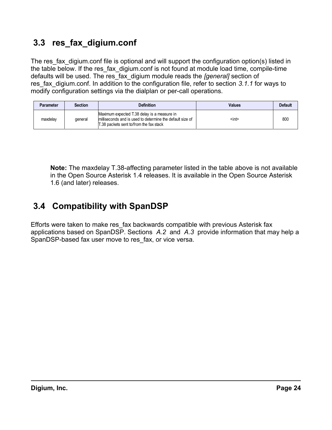# <span id="page-23-0"></span> **3.3 res\_fax\_digium.conf**

The res fax digium.conf file is optional and will support the configuration option(s) listed in the table [below.](#page-23-2) If the res fax digium.conf is not found at module load time, compile-time defaults will be used. The res\_fax\_digium module reads the *[general]* section of res fax digium.conf. In addition to the configuration file, refer to section [3.1.1](#page-16-0) for ways to modify configuration settings via the dialplan or per-call operations.

<span id="page-23-2"></span>

| <b>Parameter</b> | <b>Section</b> | <b>Definition</b>                                                                                                                                   | <b>Values</b> | <b>Default</b> |
|------------------|----------------|-----------------------------------------------------------------------------------------------------------------------------------------------------|---------------|----------------|
| maxdelay         | deneral        | Maximum expected T.38 delay is a measure in<br>milliseconds and is used to determine the default size of<br>T.38 packets sent to/from the fax stack | <int></int>   | 800            |

**Note:** The maxdelay T.38-affecting parameter listed in the table [above](#page-23-2) is not available in the Open Source Asterisk 1.4 releases. It is available in the Open Source Asterisk 1.6 (and later) releases.

# <span id="page-23-1"></span> **3.4 Compatibility with SpanDSP**

Efforts were taken to make res\_fax backwards compatible with previous Asterisk fax applications based on SpanDSP. Sections *[A.2](#page-43-0)* and *[A.3](#page-45-0)* provide information that may help a SpanDSP-based fax user move to res\_fax, or vice versa.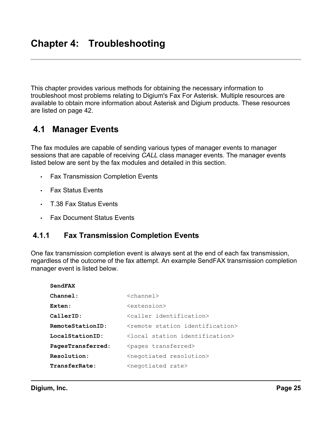<span id="page-24-2"></span>This chapter provides various methods for obtaining the necessary information to troubleshoot most problems relating to Digium's Fax For Asterisk. Multiple resources are available to obtain more information about Asterisk and Digium products. These resources are listed on page [42.](#page-41-0)

# <span id="page-24-1"></span> **4.1 Manager Events**

The fax modules are capable of sending various types of manager events to manager sessions that are capable of receiving *CALL* class manager events. The manager events listed below are sent by the fax modules and detailed in this section.

- Fax Transmission Completion Events
- Fax Status Events
- T.38 Fax Status Events
- <span id="page-24-0"></span>• Fax Document Status Events

### **4.1.1 Fax Transmission Completion Events**

One fax transmission completion event is always sent at the end of each fax transmission, regardless of the outcome of the fax attempt. An example SendFAX transmission completion manager event is listed below.

| SendFAX           |                                                 |
|-------------------|-------------------------------------------------|
| Channel:          | $<$ channel $>$                                 |
| Exten:            | <extension></extension>                         |
| CallerID:         | <caller_identification></caller_identification> |
| RemoteStationID:  | <remote identification="" station=""></remote>  |
| LocalStationID:   | <local identification="" station=""></local>    |
| PagesTransferred: | <pages transferred=""></pages>                  |
| Resolution:       | <negotiated resolution=""></negotiated>         |
| TransferRate:     | <negotiated rate=""></negotiated>               |
|                   |                                                 |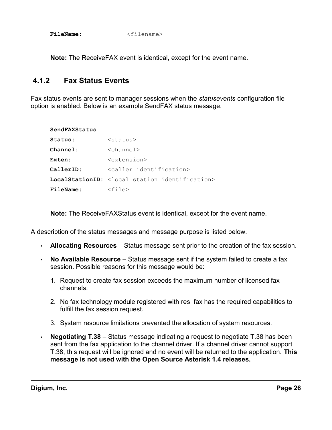FileName:  $\leq$ filename>

<span id="page-25-0"></span>**Note:** The ReceiveFAX event is identical, except for the event name.

### **4.1.2 Fax Status Events**

Fax status events are sent to manager sessions when the *statusevents* configuration file option is enabled. Below is an example SendFAX status message.

| SendFAXStatus    |                                                                     |  |
|------------------|---------------------------------------------------------------------|--|
| Status:          | $<$ status $>$                                                      |  |
| Channel:         | $\langle$ channel $\rangle$                                         |  |
| Exten:           | <extension></extension>                                             |  |
| CallerID:        | <caller identification=""></caller>                                 |  |
|                  | <b>LocalStationID:</b> <local identification="" station=""></local> |  |
| <b>FileName:</b> | $<$ file $>$                                                        |  |

**Note:** The ReceiveFAXStatus event is identical, except for the event name.

A description of the status messages and message purpose is listed below.

- **Allocating Resources** Status message sent prior to the creation of the fax session.
- **No Available Resource** Status message sent if the system failed to create a fax session. Possible reasons for this message would be:
	- 1. Request to create fax session exceeds the maximum number of licensed fax channels.
	- 2. No fax technology module registered with res fax has the required capabilities to fulfill the fax session request.
	- 3. System resource limitations prevented the allocation of system resources.
- **Negotiating T.38** Status message indicating a request to negotiate T.38 has been sent from the fax application to the channel driver. If a channel driver cannot support T.38, this request will be ignored and no event will be returned to the application. **This message is not used with the Open Source Asterisk 1.4 releases.**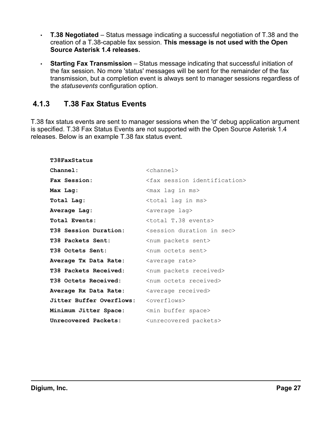- **T.38 Negotiated** Status message indicating a successful negotiation of T.38 and the creation of a T.38-capable fax session. **This message is not used with the Open Source Asterisk 1.4 releases.**
- **Starting Fax Transmission** Status message indicating that successful initiation of the fax session. No more 'status' messages will be sent for the remainder of the fax transmission, but a completion event is always sent to manager sessions regardless of the *statusevents* configuration option.

### <span id="page-26-0"></span> **4.1.3 T.38 Fax Status Events**

T.38 fax status events are sent to manager sessions when the 'd' debug application argument is specified. T.38 Fax Status Events are not supported with the Open Source Asterisk 1.4 releases. Below is an example T.38 fax status event.

| T38FaxStatus                                     |                                              |
|--------------------------------------------------|----------------------------------------------|
| Channel:                                         | $<$ channel $>$                              |
| Fax Session:                                     | <fax identification="" session=""></fax>     |
| Max Lag:                                         | <max in="" lag="" ms=""></max>               |
| Total Lag:                                       | <total in="" lag="" ms=""></total>           |
| Average Lag:                                     | <average lag=""></average>                   |
| Total Events:                                    | <total events="" t.38=""></total>            |
| T38 Session Duration:                            | <session duration="" in="" sec=""></session> |
| T38 Packets Sent:                                | <num packets="" sent=""></num>               |
| T38 Octets Sent:                                 | <num octets="" sent=""></num>                |
| Average Tx Data Rate:                            | <average rate=""></average>                  |
| T38 Packets Received:                            | <num packets="" received=""></num>           |
| T38 Octets Received:                             | <num octets="" received=""></num>            |
| Average Rx Data Rate:                            | <average received=""></average>              |
| Jitter Buffer Overflows: <overflows></overflows> |                                              |
| Minimum Jitter Space:                            | <min buffer="" space=""></min>               |
| Unrecovered Packets:                             | <unrecovered packets=""></unrecovered>       |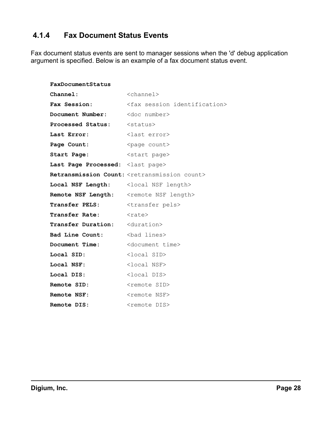### <span id="page-27-0"></span> **4.1.4 Fax Document Status Events**

Fax document status events are sent to manager sessions when the 'd' debug application argument is specified. Below is an example of a fax document status event.

| FaxDocumentStatus                               |                                                                  |
|-------------------------------------------------|------------------------------------------------------------------|
| Channel:                                        | $<$ channel $>$                                                  |
| Fax Session:                                    | <fax identification="" session=""></fax>                         |
| Document Number:                                | <doc number=""></doc>                                            |
| Processed Status: <status></status>             |                                                                  |
| Last Error:                                     | <last error=""></last>                                           |
| Page Count:                                     | <page count=""></page>                                           |
| Start Page:                                     | <start page=""></start>                                          |
| Last Page Processed: <last page=""></last>      |                                                                  |
|                                                 | Retransmission Count: <retransmission count=""></retransmission> |
|                                                 |                                                                  |
| Remote NSF Length: < remote NSF length>         |                                                                  |
| Transfer PELS: <transfer pels=""></transfer>    |                                                                  |
| Transfer Rate: <rate></rate>                    |                                                                  |
| <b>Transfer Duration:</b> <duration></duration> |                                                                  |
|                                                 |                                                                  |
| Document Time:                                  | <document time=""></document>                                    |
| Local SID:                                      | <local sid=""></local>                                           |
| Local NSF:                                      | <local nsf=""></local>                                           |
| Local DIS:                                      | $<$ local DIS $>$                                                |
| Remote SID:                                     | <remote sid=""></remote>                                         |
| Remote NSF:                                     | <remote nsf=""></remote>                                         |
| <b>Remote DIS:</b>                              | <remote dis=""></remote>                                         |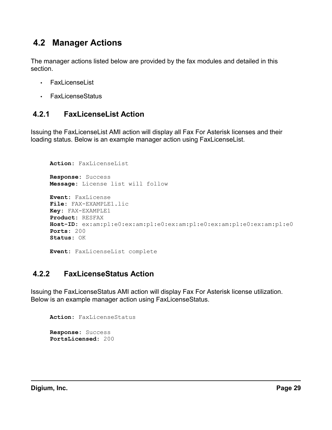# <span id="page-28-2"></span> **4.2 Manager Actions**

The manager actions listed below are provided by the fax modules and detailed in this section.

- FaxLicenseList
- <span id="page-28-1"></span>• FaxLicenseStatus

### **4.2.1 FaxLicenseList Action**

Issuing the FaxLicenseList AMI action will display all Fax For Asterisk licenses and their loading status. Below is an example manager action using FaxLicenseList.

```
Action: FaxLicenseList
Response: Success
Message: License list will follow
Event: FaxLicense
File: FAX-EXAMPLE1.lic
Key: FAX-EXAMPLE1
Product: RESFAX
Host-ID: ex:am:pl:e0:ex:am:pl:e0:ex:am:pl:e0:ex:am:pl:e0:ex:am:pl:e0
Ports: 200
Status: OK
Event: FaxLicenseList complete
```
### <span id="page-28-0"></span> **4.2.2 FaxLicenseStatus Action**

Issuing the FaxLicenseStatus AMI action will display Fax For Asterisk license utilization. Below is an example manager action using FaxLicenseStatus.

```
Action: FaxLicenseStatus
Response: Success
PortsLicensed: 200
```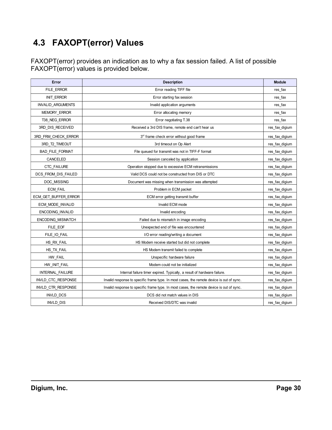# <span id="page-29-0"></span> **4.3 FAXOPT(error) Values**

FAXOPT(error) provides an indication as to why a fax session failed. A list of possible FAXOPT(error) values is provided below.

| Error                    | <b>Description</b>                                                                        | <b>Module</b>  |
|--------------------------|-------------------------------------------------------------------------------------------|----------------|
| FILE ERROR               | Error reading TIFF file                                                                   | res_fax        |
| <b>INIT ERROR</b>        | Error starting fax session                                                                | res_fax        |
| <b>INVALID ARGUMENTS</b> | Invalid application arguments                                                             | res fax        |
| MEMORY_ERROR             | Error allocating memory                                                                   | res_fax        |
| T38 NEG ERROR            | Error negotiating T.38                                                                    | res fax        |
| 3RD_DIS_RECEIVED         | Received a 3rd DIS frame, remote end can't hear us                                        | res_fax_digium |
| 3RD FRM CHECK ERROR      | 3rd frame check error without good frame                                                  | res fax digium |
| 3RD T2 TIMEOUT           | 3rd timeout on Op Alert                                                                   | res_fax_digium |
| <b>BAD FILE FORMAT</b>   | File queued for transmit was not in TIFF-F format                                         | res fax digium |
| CANCELED                 | Session canceled by application                                                           | res_fax_digium |
| <b>CTC FAILURE</b>       | Operation stopped due to excessive ECM retransmissions                                    | res fax digium |
| DCS FROM DIS FAILED      | Valid DCS could not be constructed from DIS or DTC                                        | res fax digium |
| DOC MISSING              | Document was missing when transmission was attempted                                      | res_fax_digium |
| <b>ECM FAIL</b>          | Problem in ECM packet                                                                     | res fax digium |
| ECM GET BUFFER ERROR     | ECM error getting transmit buffer                                                         | res fax digium |
| ECM MODE INVALID         | Invalid ECM mode                                                                          | res fax digium |
| <b>ENCODING INVALID</b>  | Invalid encoding                                                                          | res fax digium |
| <b>ENCODING MISMATCH</b> | Failed due to mismatch in image encoding                                                  | res fax digium |
| FILE EOF                 | Unexpected end of file was encountered                                                    | res fax digium |
| FILE IO FAIL             | I/O error reading/writing a document                                                      | res fax digium |
| HS RX FAIL               | HS Modem receive started but did not complete                                             | res fax digium |
| HS TX FAIL               | HS Modem transmit failed to complete                                                      | res fax digium |
| HW FAIL                  | Unspecific hardware failure                                                               | res_fax_digium |
| HW INIT FAIL             | Modem could not be initialized                                                            | res fax digium |
| INTERNAL FAILURE         | Internal failure timer expired. Typically, a result of hardware failure.                  | res fax digium |
| INVLD CTC RESPONSE       | Invalid response to specific frame type. In most cases, the remote device is out of sync. | res fax digium |
| INVLD CTR RESPONSE       | Invalid response to specific frame type. In most cases, the remote device is out of sync. | res fax digium |
| <b>INVLD DCS</b>         | DCS did not match values in DIS                                                           | res fax digium |
| <b>INVLD DIS</b>         | Received DIS/DTC was invalid                                                              | res fax digium |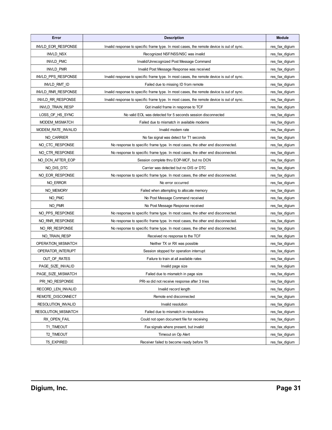| Error                   | <b>Description</b>                                                                        | <b>Module</b>  |
|-------------------------|-------------------------------------------------------------------------------------------|----------------|
| INVLD_EOR_RESPONSE      | Invalid response to specific frame type. In most cases, the remote device is out of sync. | res_fax_digium |
| <b>INVLD NSX</b>        | Recognized NSF/NSS/NSC was invalid                                                        | res_fax_digium |
| <b>INVLD PMC</b>        | Invalid/Unrecognized Post Message Command                                                 | res_fax_digium |
| <b>INVLD PMR</b>        | Invalid Post Message Response was received                                                | res_fax_digium |
| INVLD PPS RESPONSE      | Invalid response to specific frame type. In most cases, the remote device is out of sync. | res_fax_digium |
| INVLD_RMT_ID            | Failed due to missing ID from remote                                                      | res_fax_digium |
| INVLD RNR RESPONSE      | Invalid response to specific frame type. In most cases, the remote device is out of sync. | res_fax_digium |
| INVLD RR RESPONSE       | Invalid response to specific frame type. In most cases, the remote device is out of sync. | res fax digium |
| <b>INVLD TRAIN RESP</b> | Got invalid frame in response to TCF                                                      | res_fax_digium |
| LOSS_OF_HS_SYNC         | No valid EOL was detected for 5 seconds session disconnected                              | res_fax_digium |
| MODEM MISMATCH          | Failed due to mismatch in available modems                                                | res_fax_digium |
| MODEM_RATE_INVALID      | Invalid modem rate                                                                        | res_fax_digium |
| NO CARRIER              | No fax signal was detect for T1 seconds                                                   | res_fax_digium |
| NO CTC RESPONSE         | No response to specific frame type. In most cases, the other end disconnected.            | res_fax_digium |
| NO CTR RESPONSE         | No response to specific frame type. In most cases, the other end disconnected.            | res_fax_digium |
| NO DCN_AFTER_EOP        | Session complete thru EOP-MCF, but no DCN                                                 | res_fax_digium |
| NO DIS DTC              | Carrier was detected but no DIS or DTC                                                    | res_fax_digium |
| NO EOR RESPONSE         | No response to specific frame type. In most cases, the other end disconnected.            | res_fax_digium |
| NO_ERROR                | No error occurred                                                                         | res_fax_digium |
| NO MEMORY               | Failed when attempting to allocate memory                                                 | res_fax_digium |
| NO PMC                  | No Post Message Command received                                                          | res_fax_digium |
| NO PMR                  | No Post Message Response received                                                         | res_fax_digium |
| NO PPS RESPONSE         | No response to specific frame type. In most cases, the other end disconnected.            | res_fax_digium |
| NO_RNR_RESPONSE         | No response to specific frame type. In most cases, the other end disconnected.            | res_fax_digium |
| NO RR RESPONSE          | No response to specific frame type. In most cases, the other end disconnected.            | res_fax_digium |
| NO TRAIN RESP           | Received no response to the TCF                                                           | res_fax_digium |
| OPERATION_MISMATCH      | Neither TX or RX was possible                                                             | res_fax_digium |
| OPERATOR_INTERUPT       | Session stopped for operation interrupt                                                   | res_fax_digium |
| OUT OF RATES            | Failure to train at all available rates                                                   | res_fax_digium |
| PAGE_SIZE_INVALID       | Invalid page size                                                                         | res_fax_digium |
| PAGE SIZE MISMATCH      | Failed due to mismatch in page size                                                       | res fax digium |
| PRI_NO_RESPONSE         | PRI-xx did not receive response after 3 tries                                             | res_fax_digium |
| RECORD LEN INVALID      | Invalid record length                                                                     | res_fax_digium |
| REMOTE_DISCONNECT       | Remote end disconnected                                                                   | res_fax_digium |
| RESOLUTION_INVALID      | Invalid resolution                                                                        | res_fax_digium |
| RESOLUTION_MISMATCH     | Failed due to mismatch in resolutions                                                     | res_fax_digium |
| RX_OPEN_FAIL            | Could not open document file for receiving                                                | res_fax_digium |
| T1 TIMEOUT              | Fax signals where present, but invalid                                                    | res_fax_digium |
| T2 TIMEOUT              | Timeout on Op Alert                                                                       | res_fax_digium |
| <b>T5 EXPIRED</b>       | Receiver failed to become ready before T5                                                 | res fax digium |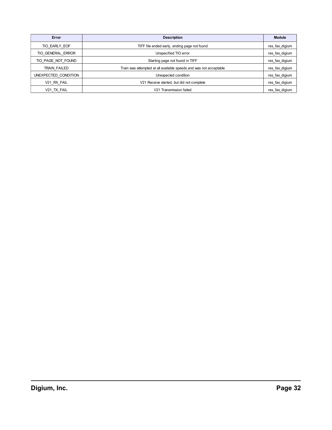| Error                | <b>Description</b>                                                 | <b>Module</b>  |
|----------------------|--------------------------------------------------------------------|----------------|
| TIO EARLY EOF        | TIFF file ended early, ending page not found                       | res fax digium |
| TIO GENERAL ERROR    | Unspecified TIO error                                              | res fax digium |
| TIO PAGE NOT FOUND   | Starting page not found in TIFF                                    | res_fax_digium |
| TRAIN FAILED         | Train was attempted at all available speeds and was not acceptable | res fax digium |
| UNEXPECTED CONDITION | Unexpected condition                                               | res fax digium |
| V21 RX FAIL          | V21 Receive started, but did not complete                          | res_fax_digium |
| V21 TX FAIL          | V21 Transmission failed                                            | res_fax_digium |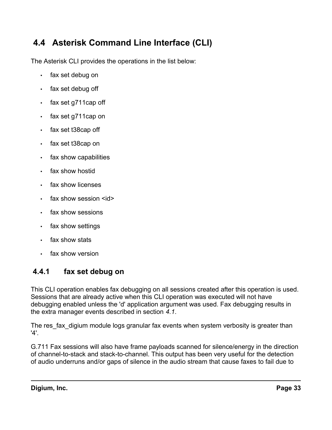# <span id="page-32-1"></span> **4.4 Asterisk Command Line Interface (CLI)**

The Asterisk CLI provides the operations in the list below:

- fax set debug on
- fax set debug off
- fax set g711cap off
- fax set g711cap on
- fax set t38cap off
- fax set t38cap on
- fax show capabilities
- fax show hostid
- fax show licenses
- $\cdot$  fax show session  $\leq id$
- fax show sessions
- fax show settings
- fax show stats
- <span id="page-32-0"></span>fax show version

### **4.4.1 fax set debug on**

This CLI operation enables fax debugging on all sessions created after this operation is used. Sessions that are already active when this CLI operation was executed will not have debugging enabled unless the 'd' application argument was used. Fax debugging results in the extra manager events described in section *[4.1](#page-24-1)*.

The res fax digium module logs granular fax events when system verbosity is greater than '4'.

G.711 Fax sessions will also have frame payloads scanned for silence/energy in the direction of channel-to-stack and stack-to-channel. This output has been very useful for the detection of audio underruns and/or gaps of silence in the audio stream that cause faxes to fail due to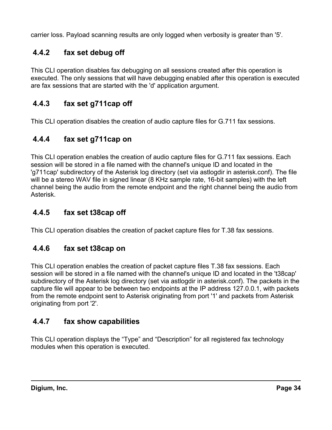carrier loss. Payload scanning results are only logged when verbosity is greater than '5'.

## <span id="page-33-5"></span> **4.4.2 fax set debug off**

This CLI operation disables fax debugging on all sessions created after this operation is executed. The only sessions that will have debugging enabled after this operation is executed are fax sessions that are started with the 'd' application argument.

## <span id="page-33-4"></span> **4.4.3 fax set g711cap off**

This CLI operation disables the creation of audio capture files for G.711 fax sessions.

## <span id="page-33-3"></span> **4.4.4 fax set g711cap on**

This CLI operation enables the creation of audio capture files for G.711 fax sessions. Each session will be stored in a file named with the channel's unique ID and located in the 'g711cap' subdirectory of the Asterisk log directory (set via astlogdir in asterisk.conf). The file will be a stereo WAV file in signed linear (8 KHz sample rate, 16-bit samples) with the left channel being the audio from the remote endpoint and the right channel being the audio from Asterisk.

### <span id="page-33-2"></span> **4.4.5 fax set t38cap off**

This CLI operation disables the creation of packet capture files for T.38 fax sessions.

### <span id="page-33-1"></span> **4.4.6 fax set t38cap on**

This CLI operation enables the creation of packet capture files T.38 fax sessions. Each session will be stored in a file named with the channel's unique ID and located in the 't38cap' subdirectory of the Asterisk log directory (set via astlogdir in asterisk.conf). The packets in the capture file will appear to be between two endpoints at the IP address 127.0.0.1, with packets from the remote endpoint sent to Asterisk originating from port '1' and packets from Asterisk originating from port '2'.

### <span id="page-33-0"></span> **4.4.7 fax show capabilities**

This CLI operation displays the "Type" and "Description" for all registered fax technology modules when this operation is executed.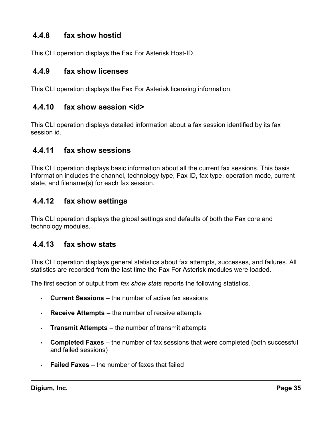### <span id="page-34-5"></span> **4.4.8 fax show hostid**

This CLI operation displays the Fax For Asterisk Host-ID.

### <span id="page-34-4"></span> **4.4.9 fax show licenses**

This CLI operation displays the Fax For Asterisk licensing information.

### <span id="page-34-3"></span> **4.4.10 fax show session <id>**

This CLI operation displays detailed information about a fax session identified by its fax session id.

### <span id="page-34-2"></span> **4.4.11 fax show sessions**

This CLI operation displays basic information about all the current fax sessions. This basis information includes the channel, technology type, Fax ID, fax type, operation mode, current state, and filename(s) for each fax session.

### <span id="page-34-1"></span> **4.4.12 fax show settings**

This CLI operation displays the global settings and defaults of both the Fax core and technology modules.

### <span id="page-34-0"></span> **4.4.13 fax show stats**

This CLI operation displays general statistics about fax attempts, successes, and failures. All statistics are recorded from the last time the Fax For Asterisk modules were loaded.

The first section of output from *fax show stats* reports the following statistics.

- **Current Sessions** the number of active fax sessions
- **Receive Attempts** the number of receive attempts
- **Transmit Attempts** the number of transmit attempts
- **Completed Faxes** the number of fax sessions that were completed (both successful and failed sessions)
- **Failed Faxes** the number of faxes that failed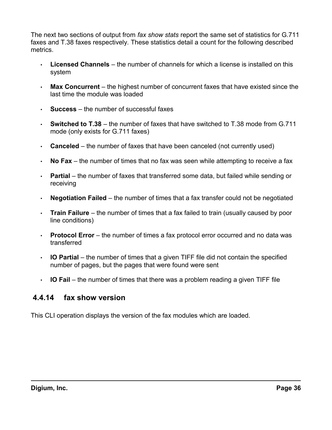The next two sections of output from *fax show stats* report the same set of statistics for G.711 faxes and T.38 faxes respectively. These statistics detail a count for the following described metrics.

- **Licensed Channels** the number of channels for which a license is installed on this system
- **Max Concurrent** the highest number of concurrent faxes that have existed since the last time the module was loaded
- **Success** the number of successful faxes
- **Switched to T.38** the number of faxes that have switched to T.38 mode from G.711 mode (only exists for G.711 faxes)
- **Canceled** the number of faxes that have been canceled (not currently used)
- **No Fax** the number of times that no fax was seen while attempting to receive a fax
- **Partial** the number of faxes that transferred some data, but failed while sending or receiving
- **Negotiation Failed** the number of times that a fax transfer could not be negotiated
- **Train Failure** the number of times that a fax failed to train (usually caused by poor line conditions)
- **Protocol Error** the number of times a fax protocol error occurred and no data was transferred
- **IO Partial** the number of times that a given TIFF file did not contain the specified number of pages, but the pages that were found were sent
- <span id="page-35-0"></span>• **IO Fail** – the number of times that there was a problem reading a given TIFF file

### **4.4.14 fax show version**

This CLI operation displays the version of the fax modules which are loaded.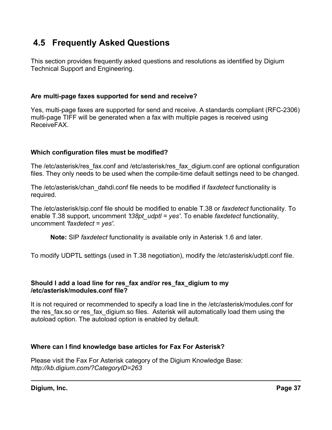# <span id="page-36-0"></span> **4.5 Frequently Asked Questions**

This section provides frequently asked questions and resolutions as identified by Digium Technical Support and Engineering.

#### **Are multi-page faxes supported for send and receive?**

Yes, multi-page faxes are supported for send and receive. A standards compliant (RFC-2306) multi-page TIFF will be generated when a fax with multiple pages is received using ReceiveFAX.

#### **Which configuration files must be modified?**

The /etc/asterisk/res\_fax.conf and /etc/asterisk/res\_fax\_digium.conf are optional configuration files. They only needs to be used when the compile-time default settings need to be changed.

The /etc/asterisk/chan\_dahdi.conf file needs to be modified if *faxdetect* functionality is required.

The /etc/asterisk/sip.conf file should be modified to enable T.38 or *faxdetect* functionality. To enable T.38 support, uncomment *'t38pt\_udptl = yes'*. To enable *faxdetect* functionality, uncomment *'faxdetect = yes'*.

**Note:** SIP *faxdetect* functionality is available only in Asterisk 1.6 and later.

To modify UDPTL settings (used in T.38 negotiation), modify the /etc/asterisk/udptl.conf file.

#### **Should I add a load line for res\_fax and/or res\_fax\_digium to my /etc/asterisk/modules.conf file?**

It is not required or recommended to specify a load line in the /etc/asterisk/modules.conf for the res fax.so or res fax digium.so files. Asterisk will automatically load them using the autoload option. The autoload option is enabled by default.

#### **Where can I find knowledge base articles for Fax For Asterisk?**

Please visit the Fax For Asterisk category of the Digium Knowledge Base: *<http://kb.digium.com/?CategoryID=263>*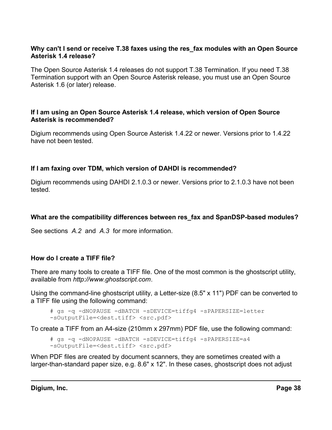#### **Why can't I send or receive T.38 faxes using the res\_fax modules with an Open Source Asterisk 1.4 release?**

The Open Source Asterisk 1.4 releases do not support T.38 Termination. If you need T.38 Termination support with an Open Source Asterisk release, you must use an Open Source Asterisk 1.6 (or later) release.

#### **If I am using an Open Source Asterisk 1.4 release, which version of Open Source Asterisk is recommended?**

Digium recommends using Open Source Asterisk 1.4.22 or newer. Versions prior to 1.4.22 have not been tested.

#### **If I am faxing over TDM, which version of DAHDI is recommended?**

Digium recommends using DAHDI 2.1.0.3 or newer. Versions prior to 2.1.0.3 have not been tested.

#### **What are the compatibility differences between res\_fax and SpanDSP-based modules?**

See sections *[A.2](#page-43-0)* and *[A.3](#page-45-0)* for more information.

#### **How do I create a TIFF file?**

There are many tools to create a TIFF file. One of the most common is the ghostscript utility, available from *[http://www.ghostscript.com](http://www.ghostscript.com/)*.

Using the command-line ghostscript utility, a Letter-size (8.5" x 11") PDF can be converted to a TIFF file using the following command:

```
# gs -q -dNOPAUSE -dBATCH -sDEVICE=tiffg4 -sPAPERSIZE=letter
-sOutputFile=<dest.tiff> <src.pdf>
```
To create a TIFF from an A4-size (210mm x 297mm) PDF file, use the following command:

# gs -q -dNOPAUSE -dBATCH -sDEVICE=tiffg4 -sPAPERSIZE=a4 -sOutputFile=<dest.tiff> <src.pdf>

When PDF files are created by document scanners, they are sometimes created with a larger-than-standard paper size, e.g. 8.6" x 12". In these cases, ghostscript does not adjust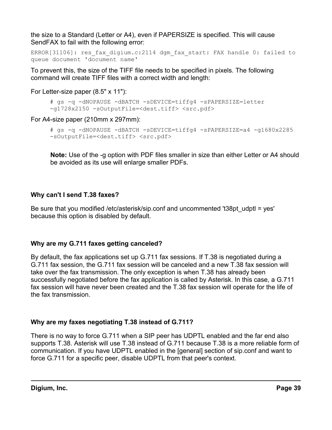the size to a Standard (Letter or A4), even if PAPERSIZE is specified. This will cause SendFAX to fail with the following error:

```
ERROR[31106]: res fax digium.c:2114 dgm fax start: FAX handle 0: failed to
queue document 'document name'
```
To prevent this, the size of the TIFF file needs to be specified in pixels. The following command will create TIFF files with a correct width and length:

For Letter-size paper (8.5" x 11"):

```
# gs -q -dNOPAUSE -dBATCH -sDEVICE=tiffg4 -sPAPERSIZE=letter
-g1728x2150 -sOutputFile=<dest.tiff> <src.pdf>
```
For A4-size paper (210mm x 297mm):

```
# gs -q -dNOPAUSE -dBATCH -sDEVICE=tiffg4 -sPAPERSIZE=a4 -g1680x2285
-sOutputFile=<dest.tiff> <src.pdf>
```
**Note:** Use of the -g option with PDF files smaller in size than either Letter or A4 should be avoided as its use will enlarge smaller PDFs.

### **Why can't I send T.38 faxes?**

Be sure that you modified /etc/asterisk/sip.conf and uncommented 't38pt udptl = yes' because this option is disabled by default.

### **Why are my G.711 faxes getting canceled?**

By default, the fax applications set up G.711 fax sessions. If T.38 is negotiated during a G.711 fax session, the G.711 fax session will be canceled and a new T.38 fax session will take over the fax transmission. The only exception is when T.38 has already been successfully negotiated before the fax application is called by Asterisk. In this case, a G.711 fax session will have never been created and the T.38 fax session will operate for the life of the fax transmission.

### **Why are my faxes negotiating T.38 instead of G.711?**

There is no way to force G.711 when a SIP peer has UDPTL enabled and the far end also supports T.38. Asterisk will use T.38 instead of G.711 because T.38 is a more reliable form of communication. If you have UDPTL enabled in the [general] section of sip.conf and want to force G.711 for a specific peer, disable UDPTL from that peer's context.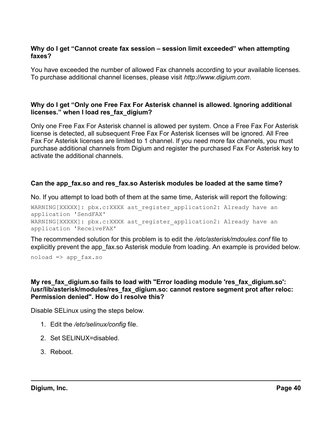#### **Why do I get "Cannot create fax session – session limit exceeded" when attempting faxes?**

You have exceeded the number of allowed Fax channels according to your available licenses. To purchase additional channel licenses, please visit *[http://www.digium.com](http://www.digium.com/)*.

#### **Why do I get "Only one Free Fax For Asterisk channel is allowed. Ignoring additional licenses." when I load res\_fax\_digium?**

Only one Free Fax For Asterisk channel is allowed per system. Once a Free Fax For Asterisk license is detected, all subsequent Free Fax For Asterisk licenses will be ignored. All Free Fax For Asterisk licenses are limited to 1 channel. If you need more fax channels, you must purchase additional channels from Digium and register the purchased Fax For Asterisk key to activate the additional channels.

#### **Can the app\_fax.so and res\_fax.so Asterisk modules be loaded at the same time?**

No. If you attempt to load both of them at the same time, Asterisk will report the following:

WARNING[XXXXX]: pbx.c:XXXX ast register application2: Already have an application 'SendFAX' WARNING[XXXXX]: pbx.c:XXXX ast register application2: Already have an application 'ReceiveFAX'

The recommended solution for this problem is to edit the */etc/asterisk/mdoules.conf* file to explicitly prevent the app fax.so Asterisk module from loading. An example is provided below.

 $noload \Rightarrow app$  fax.so

#### **My res\_fax\_digium.so fails to load with "Error loading module 'res\_fax\_digium.so': /usr/lib/asterisk/modules/res\_fax\_digium.so: cannot restore segment prot after reloc: Permission denied". How do I resolve this?**

Disable SELinux using the steps below.

- 1. Edit the */etc/selinux/config* file.
- 2. Set SELINUX=disabled.
- 3. Reboot.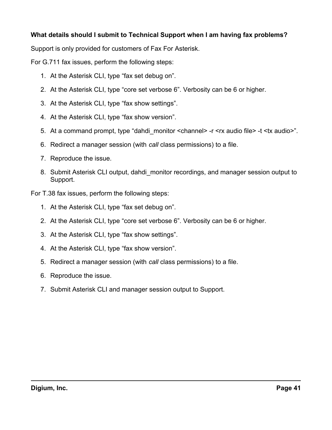#### **What details should I submit to Technical Support when I am having fax problems?**

Support is only provided for customers of Fax For Asterisk.

For G.711 fax issues, perform the following steps:

- 1. At the Asterisk CLI, type "fax set debug on".
- 2. At the Asterisk CLI, type "core set verbose 6". Verbosity can be 6 or higher.
- 3. At the Asterisk CLI, type "fax show settings".
- 4. At the Asterisk CLI, type "fax show version".
- 5. At a command prompt, type "dahdi\_monitor <channel> -r <rx audio file> -t <tx audio>".
- 6. Redirect a manager session (with *call* class permissions) to a file.
- 7. Reproduce the issue.
- 8. Submit Asterisk CLI output, dahdi monitor recordings, and manager session output to Support.

For T.38 fax issues, perform the following steps:

- 1. At the Asterisk CLI, type "fax set debug on".
- 2. At the Asterisk CLI, type "core set verbose 6". Verbosity can be 6 or higher.
- 3. At the Asterisk CLI, type "fax show settings".
- 4. At the Asterisk CLI, type "fax show version".
- 5. Redirect a manager session (with *call* class permissions) to a file.
- 6. Reproduce the issue.
- 7. Submit Asterisk CLI and manager session output to Support.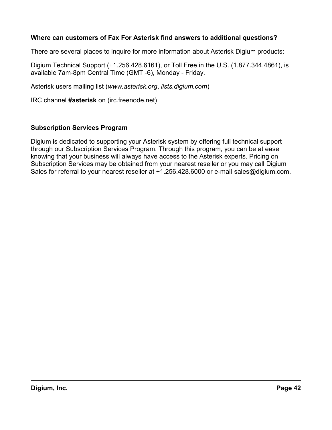#### <span id="page-41-0"></span>**Where can customers of Fax For Asterisk find answers to additional questions?**

There are several places to inquire for more information about Asterisk Digium products:

Digium Technical Support (+1.256.428.6161), or Toll Free in the U.S. (1.877.344.4861), is available 7am-8pm Central Time (GMT -6), Monday - Friday.

Asterisk users mailing list (*[www.asterisk.org](http://www.asterisk.org/)*, *[lists.digium.com](http://lists.digium.com/)*)

IRC channel **#asterisk** on (irc.freenode.net)

#### **Subscription Services Program**

Digium is dedicated to supporting your Asterisk system by offering full technical support through our Subscription Services Program. Through this program, you can be at ease knowing that your business will always have access to the Asterisk experts. Pricing on Subscription Services may be obtained from your nearest reseller or you may call Digium Sales for referral to your nearest reseller at +1.256.428.6000 or e-mail [sales@digium.com.](mailto:sales@digium.com)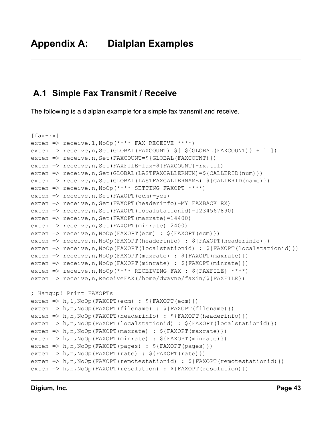## <span id="page-42-1"></span><span id="page-42-0"></span> **A.1 Simple Fax Transmit / Receive**

The following is a dialplan example for a simple fax transmit and receive.

```
[fax-rx]
exten => receive,1,NoOp(**** FAX RECEIVE ****)
exten => receive,n,Set(GLOBAL(FAXCOUNT)=$[ ${GLOBAL(FAXCOUNT)} + 1 ])
exten => receive, n, Set (FAXCOUNT=${GLOBAL (FAXCOUNT) })
exten => receive,n,Set(FAXFILE=fax-${FAXCOUNT}-rx.tif)
exten => receive, n, Set (GLOBAL (LASTFAXCALLERNUM) =$ {CALLERID(num) })
exten => receive, n, Set (GLOBAL (LASTFAXCALLERNAME) = $ {CALLERID (name) })
exten => receive,n,NoOp(**** SETTING FAXOPT ****)
exten => receive,n,Set(FAXOPT(ecm)=yes)
exten => receive,n,Set(FAXOPT(headerinfo)=MY FAXBACK RX)
exten => receive,n,Set(FAXOPT(localstationid)=1234567890)
exten => receive, n, Set (FAXOPT (maxrate) = 14400)
exten => r = receive, n, Set (FAXOPT (minrate) = 2400)
exten => receive,n,NoOp(FAXOPT(ecm) : ${FAXOPT(ecm)})
exten => receive,n,NoOp(FAXOPT(headerinfo) : ${FAXOPT(headerinfo)})
exten => receive,n,NoOp(FAXOPT(localstationid) : ${FAXOPT(localstationid)})
exten => receive,n,NoOp(FAXOPT(maxrate) : ${FAXOPT(maxrate)})
exten => receive,n,NoOp(FAXOPT(minrate) : ${FAXOPT(minrate)})
exten => receive,n,NoOp(**** RECEIVING FAX : ${FAXFILE} ****)
exten => receive, n, ReceiveFAX(/home/dwayne/faxin/${FAXFILE})
; Hangup! Print FAXOPTs
exten => h, 1, Noop(FAXOPT(ecm) : ${FAXOPT(ecm)})
exten => h,n,NoOp(FAXOPT(filename) : ${FAXOPT(filename)})
exten => h,n,NoOp(FAXOPT(headerinfo) : ${FAXOPT(headerinfo)})
exten => h,n,NoOp(FAXOPT(localstationid) : ${FAXOPT(localstationid)})
exten => h, n, NoOp(FAXOPT(maxrate) : ${FAXOPT(maxrate)})
exten => h,n,NoOp(FAXOPT(minrate) : ${FAXOPT(minrate)})
exten => h,n,NoOp(FAXOPT(pages) : ${FAXOPT(pages)})
exten => h,n, NoOp(FAXOPT(rate) : \S{FAXOPT(rate)})
exten => h,n,NoOp(FAXOPT(remotestationid) : \S{FAXOPT(remotestationid)})
exten => h,n,NoOp(FAXOPT(resolution) : ${FAXOPT(resolution)})
```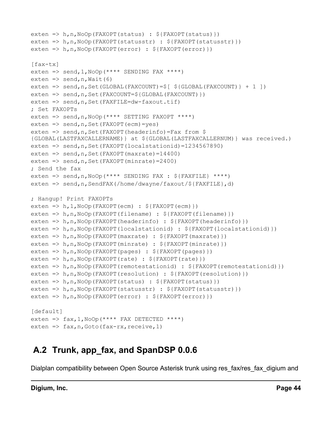```
exten => h,n,NoOp(FAXOPT(status) : ${FAXOPT(status)})
exten => h,n,NoOp(FAXOPT(statusstr) : ${FAXOPT(statusstr)})
exten => h,n,NoOp(FAXOPT(error) : ${FAXOPT(error)})
[fax-tx]
exten => send, 1, NoOp(**** SENDING FAX ****)
exten \Rightarrow send, n, Wait (6)
exten => send, n, Set (GLOBAL (FAXCOUNT) = \S [ \S {GLOBAL (FAXCOUNT) } + 1 ])
exten => send, n, Set(FAXCOUNT=${GLOBAL(FAXCOUNT)})
exten => send, n, Set (FAXFILE=dw-faxout.tif)
; Set FAXOPTs
exten => send,n,NoOp(**** SETTING FAXOPT ****)
exten => send, n, Set (FAXOPT (ecm) = yes)
exten => send, n, Set (FAXOPT (headerinfo)=Fax from $
{GLOBAL(LASTFAXCALLERNAME)} at ${GLOBAL(LASTFAXCALLERNUM)} was received.)
exten => send, n, Set (FAXOPT (localstationid) = 1234567890)
exten => send, n, Set (FAXOPT (maxrate) = 14400)
exten \Rightarrow send, n, Set (FAXOPT (minrate) = 2400)
; Send the fax
exten => send,n,NoOp(**** SENDING FAX : ${FAXFILE} ****)
exten => send, n, SendFAX(/home/dwayne/faxout/${FAXFILE}, d)
; Hangup! Print FAXOPTs
exten => h, 1, NoOp(FAXOPT(ecm) : ${FAXOPT(ecm)})
exten => h,n,NoOp(FAXOPT(filename) : ${FAXOPT(filename)})
exten => h,n,NoOp(FAXOPT(headerinfo) : ${FAXOPT(headerinfo)})
exten => h,n,NoOp(FAXOPT(localstationid) : ${FAXOPT(localstationid)})
exten => h,n,NoOp(FAXOPT(maxrate) : ${FAXOPT(maxrate)})
exten => h,n,NoOp(FAXOPT(minrate) : ${FAXOPT(minrate)})
exten => h,n,NoOp(FAXOPT(pages) : ${FAXOPT(pages)})
exten => h,n, NoOp(FAXOPT(rate) : \S{FAXOPT(rate)})
exten => h,n,NoOp(FAXOPT(remotestationid) : \S{FAXOPT(remotestationid)})
exten => h,n,NoOp(FAXOPT(resolution) : ${FAXOPT(resolution)})
exten => h,n,NoOp(FAXOPT(status) : ${FAXOPT(status)})
exten => h,n,NoOp(FAXOPT(statusstr) : ${FAXOPT(statusstr)})
exten => h,n,NoOp(FAXOPT(error) : ${FAXOPT(error)})
[default]
exten => fax, 1, NoOp (**** FAX DETECTED ****)
exten \Rightarrow fax, n, Goto (fax-rx, receive, 1)
```
# <span id="page-43-0"></span> **A.2 Trunk, app\_fax, and SpanDSP 0.0.6**

Dialplan compatibility between Open Source Asterisk trunk using res fax/res fax digium and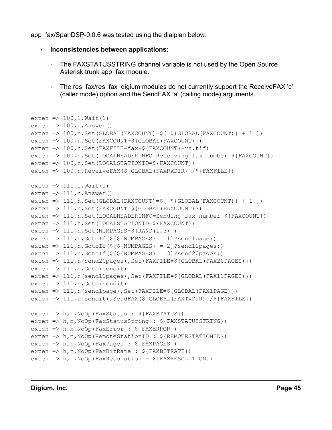app fax/SpanDSP-0.0.6 was tested using the dialplan below.

```
• Inconsistencies between applications:
```
- The FAXSTATUSSTRING channel variable is not used by the Open Source Asterisk trunk app\_fax module.
- The res fax/res fax digium modules do not currently support the ReceiveFAX 'c' (caller mode) option and the SendFAX 'a' (calling mode) arguments.

```
exten => 100, 1, Wait (1)
exten \Rightarrow 100, n, Answer()
exten => 100, n, Set (GLOBAL (FAXCOUNT) =\S [ \S {GLOBAL (FAXCOUNT) } + 1 ])
exten => 100, n, Set(FAXCOUNT=${GLOBAL(FAXCOUNT)})
exten => 100, n, Set (FAXFILE=fax-\S{FAXCOUNT}-rx.tif)
exten => 100, n, Set(LOCALHEADERINFO=Receiving fax number ${FAXCOUNT})
exten => 100, n, Set (LOCALSTATIONID=${FAXCOUNT})
exten => 100, n, ReceiveFAX(${GLOBAL(FAXRXDIR)}/${FAXFILE})
ext{en} => 111, 1, Wait (1)
exten \Rightarrow 111, n, Answer()
exten => 111, n, Set (GLOBAL (FAXCOUNT) = \S [ \S {GLOBAL (FAXCOUNT) } + 1 ])
exten => 111, n, Set(FAXCOUNT=${GLOBAL(FAXCOUNT)})
exten => 111, n, Set (LOCALHEADERINFO=Sending fax number ${FAXCOUNT})
exten => 111, n, Set (LOCALSTATIONID=${FAXCOUNT})
exten => 111, n, Set (NUMPAGES=${RAND(1,3)})
exten => 111, n, GotoIf(\S[\S{NUMPAGES} = 1]?send1page:)
exten => 111,n,GotoIf($[${NUMPAGES} = 2]?send11pages:)
exten => 111, n, GotoIf(\frac{5}{7}[\frac{5}{2}[NUMPAGES} = 3]?send20pages:)
exten => 111, n (send20pages), Set (FAXFILE=${GLOBAL (FAX20PAGES) })
exten \Rightarrow 111, n, Goto (sendit)
exten => 111, n(send11pages), Set(FAXFILE=${GLOBAL(FAX11PAGES)})
exten \Rightarrow 111, n, Goto (sendit)
exten => 111, n(send1page), Set(FAXFILE=${GLOBAL(FAX1PAGE)})
exten => 111,n(sendit),SendFAX(${GLOBAL(FAXTXDIR)}/${FAXFILE})
exten => h, 1, NoOp(FaxStatus : ${FAXSTATUS})
exten => h,n,NoOp(FaxStatusString : ${FAXSTATUSSTRING})
exten => h,n,NoOp(FaxError : ${FAXERROR})
exten => h,n,NoOp(RemoteStationID : ${REMOTESTATIONID})
exten => h, n, Noop(FaxPages : ${FAXPAGES})
exten => h,n,NoOp(FaxBitRate : ${FAXBITRATE})
exten => h, n, NoOp(FaxResolution : $FAXRESOLUTION)
```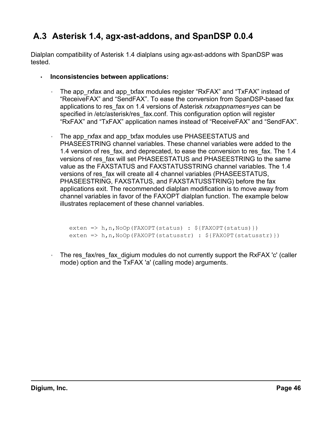# <span id="page-45-0"></span> **A.3 Asterisk 1.4, agx-ast-addons, and SpanDSP 0.0.4**

Dialplan compatibility of Asterisk 1.4 dialplans using agx-ast-addons with SpanDSP was tested.

- **Inconsistencies between applications:**
	- The app rxfax and app txfax modules register "RxFAX" and "TxFAX" instead of "ReceiveFAX" and "SendFAX". To ease the conversion from SpanDSP-based fax applications to res\_fax on 1.4 versions of Asterisk *rxtxappnames=yes* can be specified in /etc/asterisk/res\_fax.conf. This configuration option will register "RxFAX" and "TxFAX" application names instead of "ReceiveFAX" and "SendFAX".
	- The app rxfax and app txfax modules use PHASEESTATUS and PHASEESTRING channel variables. These channel variables were added to the 1.4 version of res fax, and deprecated, to ease the conversion to res fax. The 1.4 versions of res\_fax will set PHASEESTATUS and PHASEESTRING to the same value as the FAXSTATUS and FAXSTATUSSTRING channel variables. The 1.4 versions of res fax will create all 4 channel variables (PHASEESTATUS, PHASEESTRING, FAXSTATUS, and FAXSTATUSSTRING) before the fax applications exit. The recommended dialplan modification is to move away from channel variables in favor of the FAXOPT dialplan function. The example below illustrates replacement of these channel variables.

```
exten => h,n,NoOp(FAXOPT(status) : ${FAXOPT(status)})
exten => h,n,NoOp(FAXOPT(statusstr) : ${FAXOPT(statusstr)})
```
• The res fax/res fax digium modules do not currently support the RxFAX 'c' (caller mode) option and the TxFAX 'a' (calling mode) arguments.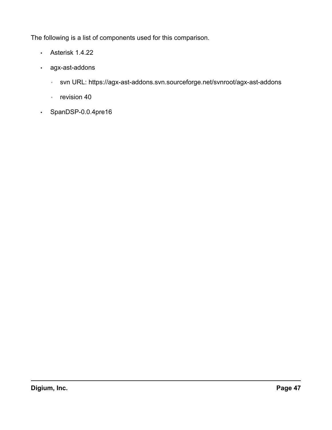The following is a list of components used for this comparison.

- Asterisk 1.4.22
- agx-ast-addons
	- svn URL: https://agx-ast-addons.svn.sourceforge.net/svnroot/agx-ast-addons
	- revision 40
- SpanDSP-0.0.4pre16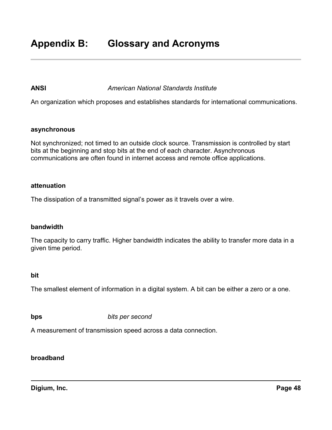#### <span id="page-47-0"></span>**ANSI** *American National Standards Institute*

An organization which proposes and establishes standards for international communications.

#### **asynchronous**

Not synchronized; not timed to an outside clock source. Transmission is controlled by start bits at the beginning and stop bits at the end of each character. Asynchronous communications are often found in internet access and remote office applications.

#### **attenuation**

The dissipation of a transmitted signal's power as it travels over a wire.

#### **bandwidth**

The capacity to carry traffic. Higher bandwidth indicates the ability to transfer more data in a given time period.

#### **bit**

The smallest element of information in a digital system. A bit can be either a zero or a one.

**bps** *bits per second*

A measurement of transmission speed across a data connection.

#### **broadband**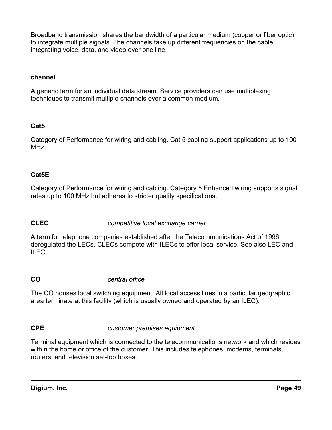Broadband transmission shares the bandwidth of a particular medium (copper or fiber optic) to integrate multiple signals. The channels take up different frequencies on the cable, integrating voice, data, and video over one line.

#### **channel**

A generic term for an individual data stream. Service providers can use multiplexing techniques to transmit multiple channels over a common medium.

### **Cat5**

Category of Performance for wiring and cabling. Cat 5 cabling support applications up to 100 MHz.

#### **Cat5E**

Category of Performance for wiring and cabling. Category 5 Enhanced wiring supports signal rates up to 100 MHz but adheres to stricter quality specifications.

#### **CLEC** *competitive local exchange carrier*

A term for telephone companies established after the Telecommunications Act of 1996 deregulated the LECs. CLECs compete with ILECs to offer local service. See also LEC and ILEC.

#### **CO** *central office*

The CO houses local switching equipment. All local access lines in a particular geographic area terminate at this facility (which is usually owned and operated by an ILEC).

#### **CPE** *customer premises equipment*

Terminal equipment which is connected to the telecommunications network and which resides within the home or office of the customer. This includes telephones, modems, terminals, routers, and television set-top boxes.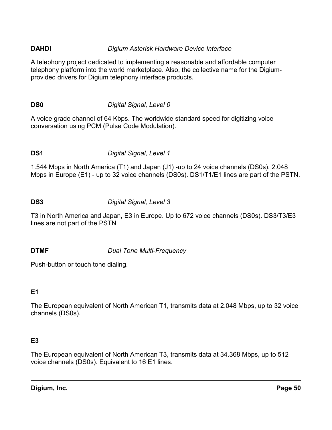### **DAHDI** *Digium Asterisk Hardware Device Interface*

A telephony project dedicated to implementing a reasonable and affordable computer telephony platform into the world marketplace. Also, the collective name for the Digiumprovided drivers for Digium telephony interface products.

#### **DS0** *Digital Signal, Level 0*

A voice grade channel of 64 Kbps. The worldwide standard speed for digitizing voice conversation using PCM (Pulse Code Modulation).

#### **DS1** *Digital Signal, Level 1*

1.544 Mbps in North America (T1) and Japan (J1) -up to 24 voice channels (DS0s), 2.048 Mbps in Europe (E1) - up to 32 voice channels (DS0s). DS1/T1/E1 lines are part of the PSTN.

#### **DS3** *Digital Signal, Level 3*

T3 in North America and Japan, E3 in Europe. Up to 672 voice channels (DS0s). DS3/T3/E3 lines are not part of the PSTN

#### **DTMF** *Dual Tone Multi-Frequency*

Push-button or touch tone dialing.

### **E1**

The European equivalent of North American T1, transmits data at 2.048 Mbps, up to 32 voice channels (DS0s).

### **E3**

The European equivalent of North American T3, transmits data at 34.368 Mbps, up to 512 voice channels (DS0s). Equivalent to 16 E1 lines.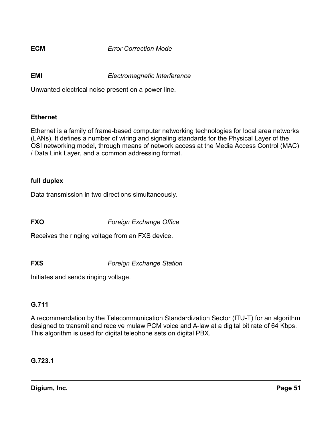**ECM** *Error Correction Mode*

**EMI** *Electromagnetic Interference*

Unwanted electrical noise present on a power line.

#### **Ethernet**

Ethernet is a family of frame-based computer networking technologies for local area networks (LANs). It defines a number of wiring and signaling standards for the Physical Layer of the OSI networking model, through means of network access at the Media Access Control (MAC) / Data Link Layer, and a common addressing format.

#### **full duplex**

Data transmission in two directions simultaneously.

**FXO** *Foreign Exchange Office*

Receives the ringing voltage from an FXS device.

**FXS** *Foreign Exchange Station*

Initiates and sends ringing voltage.

#### **G.711**

A recommendation by the Telecommunication Standardization Sector (ITU-T) for an algorithm designed to transmit and receive mulaw PCM voice and A-law at a digital bit rate of 64 Kbps. This algorithm is used for digital telephone sets on digital PBX.

**G.723.1**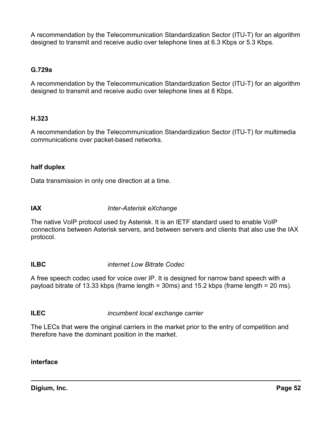A recommendation by the Telecommunication Standardization Sector (ITU-T) for an algorithm designed to transmit and receive audio over telephone lines at 6.3 Kbps or 5.3 Kbps.

#### **G.729a**

A recommendation by the Telecommunication Standardization Sector (ITU-T) for an algorithm designed to transmit and receive audio over telephone lines at 8 Kbps.

#### **H.323**

A recommendation by the Telecommunication Standardization Sector (ITU-T) for multimedia communications over packet-based networks.

#### **half duplex**

Data transmission in only one direction at a time.

**IAX** *Inter-Asterisk eXchange*

The native VoIP protocol used by Asterisk. It is an IETF standard used to enable VoIP connections between Asterisk servers, and between servers and clients that also use the IAX protocol.

#### **ILBC** *internet Low Bitrate Codec*

A free speech codec used for voice over IP. It is designed for narrow band speech with a payload bitrate of 13.33 kbps (frame length = 30ms) and 15.2 kbps (frame length = 20 ms).

**ILEC** *incumbent local exchange carrier*

The LECs that were the original carriers in the market prior to the entry of competition and therefore have the dominant position in the market.

#### **interface**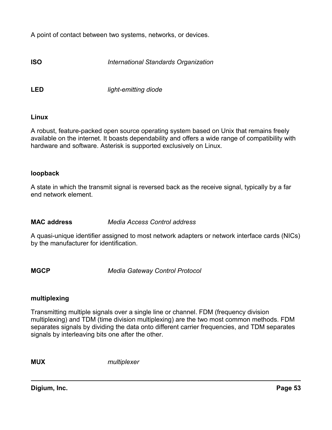A point of contact between two systems, networks, or devices.

**ISO** *International Standards Organization*

**LED** *light-emitting diode*

#### **Linux**

A robust, feature-packed open source operating system based on Unix that remains freely available on the internet. It boasts dependability and offers a wide range of compatibility with hardware and software. Asterisk is supported exclusively on Linux.

#### **loopback**

A state in which the transmit signal is reversed back as the receive signal, typically by a far end network element.

#### **MAC address** *Media Access Control address*

A quasi-unique identifier assigned to most network adapters or network interface cards (NICs) by the manufacturer for identification.

**MGCP** *Media Gateway Control Protocol*

#### **multiplexing**

Transmitting multiple signals over a single line or channel. FDM (frequency division multiplexing) and TDM (time division multiplexing) are the two most common methods. FDM separates signals by dividing the data onto different carrier frequencies, and TDM separates signals by interleaving bits one after the other.

**MUX** *multiplexer*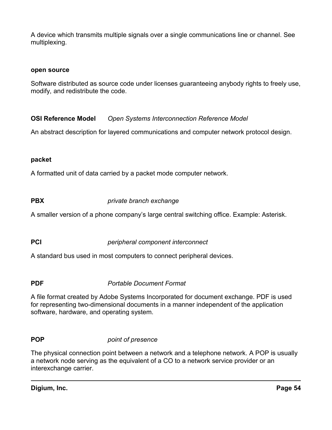A device which transmits multiple signals over a single communications line or channel. See multiplexing.

#### **open source**

Software distributed as source code under licenses guaranteeing anybody rights to freely use, modify, and redistribute the code.

**OSI Reference Model** *Open Systems Interconnection Reference Model*

An abstract description for layered communications and computer network protocol design.

#### **packet**

A formatted unit of data carried by a packet mode computer network.

**PBX** *private branch exchange*

A smaller version of a phone company's large central switching office. Example: Asterisk.

**PCI** *peripheral component interconnect*

A standard bus used in most computers to connect peripheral devices.

**PDF** *Portable Document Format*

A file format created by Adobe Systems Incorporated for document exchange. PDF is used for representing two-dimensional documents in a manner independent of the application software, hardware, and operating system.

#### **POP** *point of presence*

The physical connection point between a network and a telephone network. A POP is usually a network node serving as the equivalent of a CO to a network service provider or an interexchange carrier.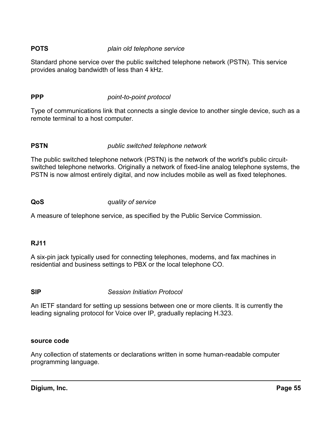#### **POTS** *plain old telephone service*

Standard phone service over the public switched telephone network (PSTN). This service provides analog bandwidth of less than 4 kHz.

### **PPP** *point-to-point protocol*

Type of communications link that connects a single device to another single device, such as a remote terminal to a host computer.

### **PSTN** *public switched telephone network*

The public switched telephone network (PSTN) is the network of the world's public circuitswitched telephone networks. Originally a network of fixed-line analog telephone systems, the PSTN is now almost entirely digital, and now includes mobile as well as fixed telephones.

#### **QoS** *quality of service*

A measure of telephone service, as specified by the Public Service Commission.

#### **RJ11**

A six-pin jack typically used for connecting telephones, modems, and fax machines in residential and business settings to PBX or the local telephone CO.

**SIP** *Session Initiation Protocol*

An IETF standard for setting up sessions between one or more clients. It is currently the leading signaling protocol for Voice over IP, gradually replacing H.323.

#### **source code**

Any collection of statements or declarations written in some human-readable computer programming language.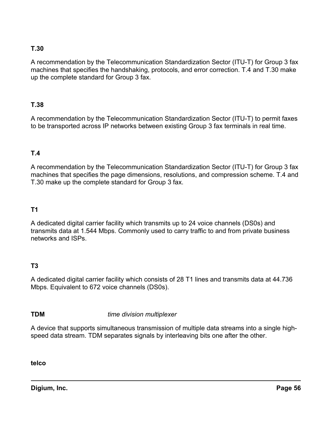### **T.30**

A recommendation by the Telecommunication Standardization Sector (ITU-T) for Group 3 fax machines that specifies the handshaking, protocols, and error correction. T.4 and T.30 make up the complete standard for Group 3 fax.

#### **T.38**

A recommendation by the Telecommunication Standardization Sector (ITU-T) to permit faxes to be transported across IP networks between existing Group 3 fax terminals in real time.

### **T.4**

A recommendation by the Telecommunication Standardization Sector (ITU-T) for Group 3 fax machines that specifies the page dimensions, resolutions, and compression scheme. T.4 and T.30 make up the complete standard for Group 3 fax.

#### **T1**

A dedicated digital carrier facility which transmits up to 24 voice channels (DS0s) and transmits data at 1.544 Mbps. Commonly used to carry traffic to and from private business networks and ISPs.

#### **T3**

A dedicated digital carrier facility which consists of 28 T1 lines and transmits data at 44.736 Mbps. Equivalent to 672 voice channels (DS0s).

**TDM** *time division multiplexer*

A device that supports simultaneous transmission of multiple data streams into a single highspeed data stream. TDM separates signals by interleaving bits one after the other.

**telco**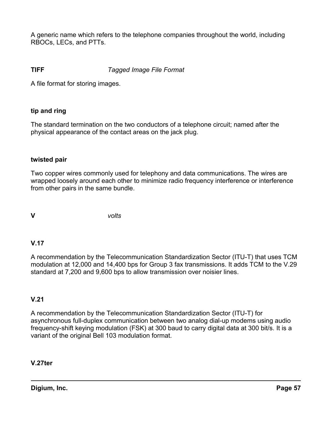A generic name which refers to the telephone companies throughout the world, including RBOCs, LECs, and PTTs.

#### **TIFF** *Tagged Image File Format*

A file format for storing images.

#### **tip and ring**

The standard termination on the two conductors of a telephone circuit; named after the physical appearance of the contact areas on the jack plug.

#### **twisted pair**

Two copper wires commonly used for telephony and data communications. The wires are wrapped loosely around each other to minimize radio frequency interference or interference from other pairs in the same bundle.

**V** *volts*

#### **V.17**

A recommendation by the Telecommunication Standardization Sector (ITU-T) that uses TCM modulation at 12,000 and 14,400 bps for Group 3 fax transmissions. It adds TCM to the V.29 standard at 7,200 and 9,600 bps to allow transmission over noisier lines.

#### **V.21**

A recommendation by the Telecommunication Standardization Sector (ITU-T) for asynchronous full-duplex communication between two analog dial-up modems using audio frequency-shift keying modulation (FSK) at 300 baud to carry digital data at 300 bit/s. It is a variant of the original Bell 103 modulation format.

**V.27ter**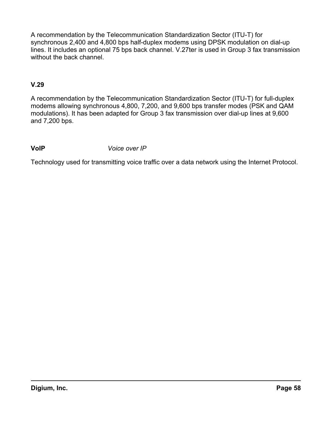A recommendation by the Telecommunication Standardization Sector (ITU-T) for synchronous 2,400 and 4,800 bps half-duplex modems using DPSK modulation on dial-up lines. It includes an optional 75 bps back channel. V.27ter is used in Group 3 fax transmission without the back channel.

### **V.29**

A recommendation by the Telecommunication Standardization Sector (ITU-T) for full-duplex modems allowing synchronous 4,800, 7,200, and 9,600 bps transfer modes (PSK and QAM modulations). It has been adapted for Group 3 fax transmission over dial-up lines at 9,600 and 7,200 bps.

#### **VoIP** *Voice over IP*

Technology used for transmitting voice traffic over a data network using the Internet Protocol.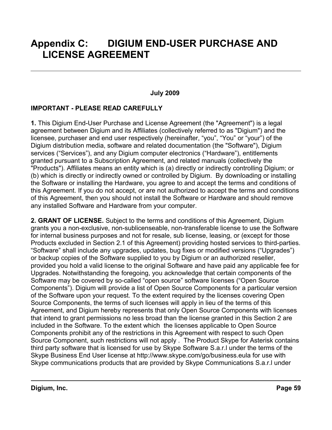# **Appendix C: DIGIUM END-USER PURCHASE AND LICENSE AGREEMENT**

#### <span id="page-58-0"></span>**July 2009**

#### **IMPORTANT - PLEASE READ CAREFULLY**

**1.** This Digium End-User Purchase and License Agreement (the "Agreement") is a legal agreement between Digium and its Affiliates (collectively referred to as "Digium") and the licensee, purchaser and end user respectively (hereinafter, "you", "You" or "your") of the Digium distribution media, software and related documentation (the "Software"), Digium services ("Services"), and any Digium computer electronics ("Hardware"), entitlements granted pursuant to a Subscription Agreement, and related manuals (collectively the "Products"). Affiliates means an entity which is (a) directly or indirectly controlling Digium; or (b) which is directly or indirectly owned or controlled by Digium. By downloading or installing the Software or installing the Hardware, you agree to and accept the terms and conditions of this Agreement. If you do not accept, or are not authorized to accept the terms and conditions of this Agreement, then you should not install the Software or Hardware and should remove any installed Software and Hardware from your computer.

**2. GRANT OF LICENSE.** Subject to the terms and conditions of this Agreement, Digium grants you a non-exclusive, non-sublicenseable, non-transferable license to use the Software for internal business purposes and not for resale, sub license, leasing, or (except for those Products excluded in Section 2.1 of this Agreement) providing hosted services to third-parties. "Software" shall include any upgrades, updates, bug fixes or modified versions ("Upgrades") or backup copies of the Software supplied to you by Digium or an authorized reseller, provided you hold a valid license to the original Software and have paid any applicable fee for Upgrades. Notwithstanding the foregoing, you acknowledge that certain components of the Software may be covered by so-called "open source" software licenses ("Open Source Components"). Digium will provide a list of Open Source Components for a particular version of the Software upon your request. To the extent required by the licenses covering Open Source Components, the terms of such licenses will apply in lieu of the terms of this Agreement, and Digium hereby represents that only Open Source Components with licenses that intend to grant permissions no less broad than the license granted in this Section 2 are included in the Software. To the extent which the licenses applicable to Open Source Components prohibit any of the restrictions in this Agreement with respect to such Open Source Component, such restrictions will not apply . The Product Skype for Asterisk contains third party software that is licensed for use by Skype Software S.a.r.l under the terms of the Skype Business End User license at http://www.skype.com/go/business.eula for use with Skype communications products that are provided by Skype Communications S.a.r.l under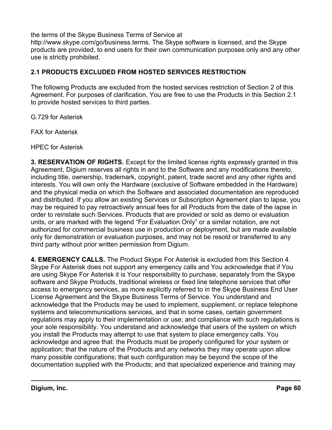the terms of the Skype Business Terms of Service at

http://www.skype.com/go/business.terms. The Skype software is licensed, and the Skype products are provided, to end users for their own communication purposes only and any other use is strictly prohibited.

### **2.1 PRODUCTS EXCLUDED FROM HOSTED SERVICES RESTRICTION**

The following Products are excluded from the hosted services restriction of Section 2 of this Agreement. For purposes of clarification, You are free to use the Products in this Section 2.1 to provide hosted services to third parties.

G.729 for Asterisk

FAX for Asterisk

HPEC for Asterisk

**3. RESERVATION OF RIGHTS.** Except for the limited license rights expressly granted in this Agreement, Digium reserves all rights in and to the Software and any modifications thereto, including title, ownership, trademark, copyright, patent, trade secret and any other rights and interests. You will own only the Hardware (exclusive of Software embedded in the Hardware) and the physical media on which the Software and associated documentation are reproduced and distributed. If you allow an existing Services or Subscription Agreement plan to lapse, you may be required to pay retroactively annual fees for all Products from the date of the lapse in order to reinstate such Services. Products that are provided or sold as demo or evaluation units, or are marked with the legend "For Evaluation Only" or a similar notation, are not authorized for commercial business use in production or deployment, but are made available only for demonstration or evaluation purposes, and may not be resold or transferred to any third party without prior written permission from Digium.

**4. EMERGENCY CALLS.** The Product Skype For Asterisk is excluded from this Section 4. Skype For Asterisk does not support any emergency calls and You acknowledge that if You are using Skype For Asterisk it is Your responsibility to purchase, separately from the Skype software and Skype Products, traditional wireless or fixed line telephone services that offer access to emergency services, as more explicitly referred to in the Skype Business End User License Agreement and the Skype Business Terms of Service. You understand and acknowledge that the Products may be used to implement, supplement, or replace telephone systems and telecommunications services, and that in some cases, certain government regulations may apply to their implementation or use; and compliance with such regulations is your sole responsibility. You understand and acknowledge that users of the system on which you install the Products may attempt to use that system to place emergency calls. You acknowledge and agree that: the Products must be properly configured for your system or application; that the nature of the Products and any networks they may operate upon allow many possible configurations; that such configuration may be beyond the scope of the documentation supplied with the Products; and that specialized experience and training may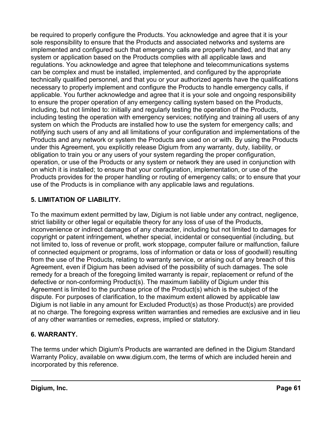be required to properly configure the Products. You acknowledge and agree that it is your sole responsibility to ensure that the Products and associated networks and systems are implemented and configured such that emergency calls are properly handled, and that any system or application based on the Products complies with all applicable laws and regulations. You acknowledge and agree that telephone and telecommunications systems can be complex and must be installed, implemented, and configured by the appropriate technically qualified personnel, and that you or your authorized agents have the qualifications necessary to properly implement and configure the Products to handle emergency calls, if applicable. You further acknowledge and agree that it is your sole and ongoing responsibility to ensure the proper operation of any emergency calling system based on the Products, including, but not limited to: initially and regularly testing the operation of the Products, including testing the operation with emergency services; notifying and training all users of any system on which the Products are installed how to use the system for emergency calls; and notifying such users of any and all limitations of your configuration and implementations of the Products and any network or system the Products are used on or with. By using the Products under this Agreement, you explicitly release Digium from any warranty, duty, liability, or obligation to train you or any users of your system regarding the proper configuration, operation, or use of the Products or any system or network they are used in conjunction with on which it is installed; to ensure that your configuration, implementation, or use of the Products provides for the proper handling or routing of emergency calls; or to ensure that your use of the Products is in compliance with any applicable laws and regulations.

### **5. LIMITATION OF LIABILITY.**

To the maximum extent permitted by law, Digium is not liable under any contract, negligence, strict liability or other legal or equitable theory for any loss of use of the Products, inconvenience or indirect damages of any character, including but not limited to damages for copyright or patent infringement, whether special, incidental or consequential (including, but not limited to, loss of revenue or profit, work stoppage, computer failure or malfunction, failure of connected equipment or programs, loss of information or data or loss of goodwill) resulting from the use of the Products, relating to warranty service, or arising out of any breach of this Agreement, even if Digium has been advised of the possibility of such damages. The sole remedy for a breach of the foregoing limited warranty is repair, replacement or refund of the defective or non-conforming Product(s). The maximum liability of Digium under this Agreement is limited to the purchase price of the Product(s) which is the subject of the dispute. For purposes of clarification, to the maximum extent allowed by applicable law Digium is not liable in any amount for Excluded Product(s) as those Product(s) are provided at no charge. The foregoing express written warranties and remedies are exclusive and in lieu of any other warranties or remedies, express, implied or statutory.

### **6. WARRANTY.**

The terms under which Digium's Products are warranted are defined in the Digium Standard Warranty Policy, available on www.digium.com, the terms of which are included herein and incorporated by this reference.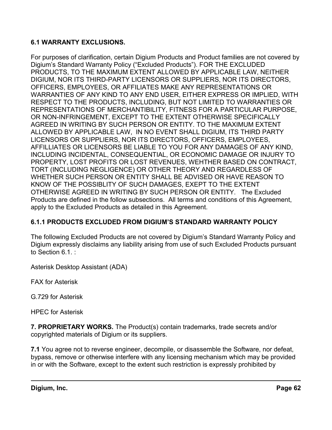#### **6.1 WARRANTY EXCLUSIONS.**

For purposes of clarification, certain Digium Products and Product families are not covered by Digium's Standard Warranty Policy ("Excluded Products"). FOR THE EXCLUDED PRODUCTS, TO THE MAXIMUM EXTENT ALLOWED BY APPLICABLE LAW, NEITHER DIGIUM, NOR ITS THIRD-PARTY LICENSORS OR SUPPLIERS, NOR ITS DIRECTORS, OFFICERS, EMPLOYEES, OR AFFILIATES MAKE ANY REPRESENTATIONS OR WARRANTIES OF ANY KIND TO ANY END USER, EITHER EXPRESS OR IMPLIED, WITH RESPECT TO THE PRODUCTS, INCLUDING, BUT NOT LIMITED TO WARRANTIES OR REPRESENTATIONS OF MERCHANTIBILITY, FITNESS FOR A PARTICULAR PURPOSE, OR NON-INFRINGEMENT, EXCEPT TO THE EXTENT OTHERWISE SPECIFICALLY AGREED IN WRITING BY SUCH PERSON OR ENTITY. TO THE MAXIMUM EXTENT ALLOWED BY APPLICABLE LAW, IN NO EVENT SHALL DIGIUM, ITS THIRD PARTY LICENSORS OR SUPPLIERS, NOR ITS DIRECTORS, OFFICERS, EMPLOYEES, AFFILLIATES OR LICENSORS BE LIABLE TO YOU FOR ANY DAMAGES OF ANY KIND, INCLUDING INCIDENTAL, CONSEQUENTIAL, OR ECONOMIC DAMAGE OR INJURY TO PROPERTY, LOST PROFITS OR LOST REVENUES, WEHTHER BASED ON CONTRACT, TORT (INCLUDING NEGLIGENCE) OR OTHER THEORY AND REGARDLESS OF WHETHER SUCH PERSON OR ENTITY SHALL BE ADVISED OR HAVE REASON TO KNOW OF THE POSSIBLITY OF SUCH DAMAGES, EXEPT TO THE EXTENT OTHERWISE AGREED IN WRITING BY SUCH PERSON OR ENTITY. The Excluded Products are defined in the follow subsections. All terms and conditions of this Agreement, apply to the Excluded Products as detailed in this Agreement.

### **6.1.1 PRODUCTS EXCLUDED FROM DIGIUM'S STANDARD WARRANTY POLICY**

The following Excluded Products are not covered by Digium's Standard Warranty Policy and Digium expressly disclaims any liability arising from use of such Excluded Products pursuant to Section 6.1. :

Asterisk Desktop Assistant (ADA)

FAX for Asterisk

G.729 for Asterisk

HPEC for Asterisk

**7. PROPRIETARY WORKS.** The Product(s) contain trademarks, trade secrets and/or copyrighted materials of Digium or its suppliers.

**7.1** You agree not to reverse engineer, decompile, or disassemble the Software, nor defeat, bypass, remove or otherwise interfere with any licensing mechanism which may be provided in or with the Software, except to the extent such restriction is expressly prohibited by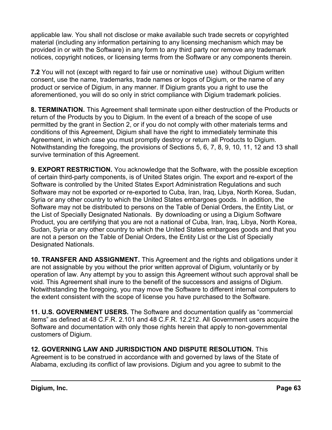applicable law. You shall not disclose or make available such trade secrets or copyrighted material (including any information pertaining to any licensing mechanism which may be provided in or with the Software) in any form to any third party nor remove any trademark notices, copyright notices, or licensing terms from the Software or any components therein.

**7.2** You will not (except with regard to fair use or nominative use) without Digium written consent, use the name, trademarks, trade names or logos of Digium, or the name of any product or service of Digium, in any manner. If Digium grants you a right to use the aforementioned, you will do so only in strict compliance with Digium trademark policies.

**8. TERMINATION.** This Agreement shall terminate upon either destruction of the Products or return of the Products by you to Digium. In the event of a breach of the scope of use permitted by the grant in Section 2, or if you do not comply with other materials terms and conditions of this Agreement, Digium shall have the right to immediately terminate this Agreement, in which case you must promptly destroy or return all Products to Digium. Notwithstanding the foregoing, the provisions of Sections 5, 6, 7, 8, 9, 10, 11, 12 and 13 shall survive termination of this Agreement.

**9. EXPORT RESTRICTION.** You acknowledge that the Software, with the possible exception of certain third-party components, is of United States origin. The export and re-export of the Software is controlled by the United States Export Administration Regulations and such Software may not be exported or re-exported to Cuba, Iran, Iraq, Libya, North Korea, Sudan, Syria or any other country to which the United States embargoes goods. In addition, the Software may not be distributed to persons on the Table of Denial Orders, the Entity List, or the List of Specially Designated Nationals. By downloading or using a Digium Software Product, you are certifying that you are not a national of Cuba, Iran, Iraq, Libya, North Korea, Sudan, Syria or any other country to which the United States embargoes goods and that you are not a person on the Table of Denial Orders, the Entity List or the List of Specially Designated Nationals.

**10. TRANSFER AND ASSIGNMENT.** This Agreement and the rights and obligations under it are not assignable by you without the prior written approval of Digium, voluntarily or by operation of law. Any attempt by you to assign this Agreement without such approval shall be void. This Agreement shall inure to the benefit of the successors and assigns of Digium. Notwithstanding the foregoing, you may move the Software to different internal computers to the extent consistent with the scope of license you have purchased to the Software.

**11. U.S. GOVERNMENT USERS.** The Software and documentation qualify as "commercial items" as defined at 48 C.F.R. 2.101 and 48 C.F.R. 12.212. All Government users acquire the Software and documentation with only those rights herein that apply to non-governmental customers of Digium.

**12. GOVERNING LAW AND JURISDICTION AND DISPUTE RESOLUTION.** This Agreement is to be construed in accordance with and governed by laws of the State of Alabama, excluding its conflict of law provisions. Digium and you agree to submit to the